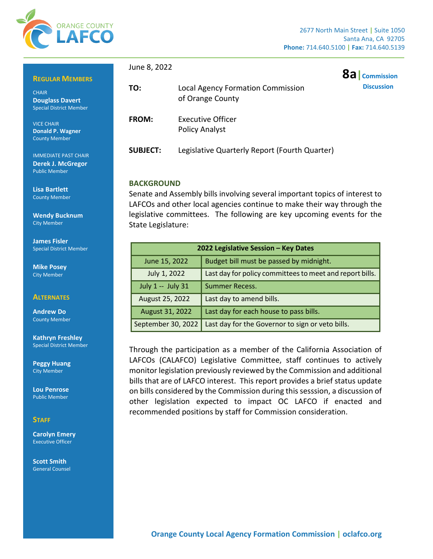

**8a|Commission Discussion**

#### **REGULAR MEMBERS**

**CHAIR Douglass Davert**  Special District Member

VICE CHAIR **Donald P. Wagner** County Member

IMMEDIATE PAST CHAIR **Derek J. McGregor** Public Member

**Lisa Bartlett** County Member

**Wendy Bucknum** City Member

**James Fisler** Special District Member

**Mike Posey** City Member

#### **ALTERNATES**

**Andrew Do** County Member

**Kathryn Freshley** Special District Member

**Peggy Huang** City Member

**Lou Penrose** Public Member

### **STAFF**

**Carolyn Emery** Executive Officer

**Scott Smith** General Counsel

#### June 8, 2022

| TO:             | Local Agency Formation Commission<br>of Orange County |  |
|-----------------|-------------------------------------------------------|--|
| <b>FROM:</b>    | Executive Officer<br><b>Policy Analyst</b>            |  |
| <b>SUBJECT:</b> | Legislative Quarterly Report (Fourth Quarter)         |  |

## **BACKGROUND**

Senate and Assembly bills involving several important topics of interest to LAFCOs and other local agencies continue to make their way through the legislative committees. The following are key upcoming events for the State Legislature:

| 2022 Legislative Session - Key Dates |                                                          |  |  |
|--------------------------------------|----------------------------------------------------------|--|--|
| June 15, 2022                        | Budget bill must be passed by midnight.                  |  |  |
| July 1, 2022                         | Last day for policy committees to meet and report bills. |  |  |
| July 1 -- July 31                    | <b>Summer Recess.</b>                                    |  |  |
| August 25, 2022                      | Last day to amend bills.                                 |  |  |
| August 31, 2022                      | Last day for each house to pass bills.                   |  |  |
| September 30, 2022                   | Last day for the Governor to sign or veto bills.         |  |  |

Through the participation as a member of the California Association of LAFCOs (CALAFCO) Legislative Committee, staff continues to actively monitor legislation previously reviewed by the Commission and additional bills that are of LAFCO interest. This report provides a brief status update on bills considered by the Commission during this sesssion, a discussion of other legislation expected to impact OC LAFCO if enacted and recommended positions by staff for Commission consideration.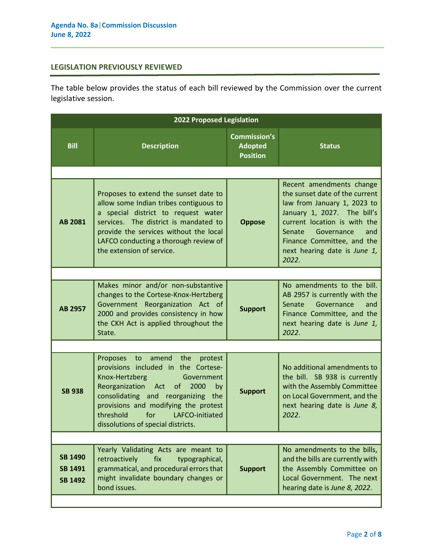# **LEGISLATION PREVIOUSLY REVIEWED**

The table below provides the status of each bill reviewed by the Commission over the current legislative session.

| <b>2022 Proposed Legislation</b>                   |                                                                                                                                                                                                                                                                                                                       |                                                          |                                                                                                                                                                                                                                                                |  |  |
|----------------------------------------------------|-----------------------------------------------------------------------------------------------------------------------------------------------------------------------------------------------------------------------------------------------------------------------------------------------------------------------|----------------------------------------------------------|----------------------------------------------------------------------------------------------------------------------------------------------------------------------------------------------------------------------------------------------------------------|--|--|
| <b>Bill</b>                                        | <b>Description</b>                                                                                                                                                                                                                                                                                                    | <b>Commission's</b><br><b>Adopted</b><br><b>Position</b> | <b>Status</b>                                                                                                                                                                                                                                                  |  |  |
|                                                    |                                                                                                                                                                                                                                                                                                                       |                                                          |                                                                                                                                                                                                                                                                |  |  |
| AB 2081                                            | Proposes to extend the sunset date to<br>allow some Indian tribes contiguous to<br>a special district to request water<br>services. The district is mandated to<br>provide the services without the local<br>LAFCO conducting a thorough review of<br>the extension of service.                                       | <b>Oppose</b>                                            | Recent amendments change<br>the sunset date of the current<br>law from January 1, 2023 to<br>January 1, 2027. The bill's<br>current location is with the<br>Senate<br>Governance<br>and<br>Finance Committee, and the<br>next hearing date is June 1,<br>2022. |  |  |
|                                                    |                                                                                                                                                                                                                                                                                                                       |                                                          |                                                                                                                                                                                                                                                                |  |  |
| AB 2957                                            | Makes minor and/or non-substantive<br>changes to the Cortese-Knox-Hertzberg<br>Government Reorganization Act of<br>2000 and provides consistency in how<br>the CKH Act is applied throughout the<br>State.                                                                                                            | <b>Support</b>                                           | No amendments to the bill.<br>AB 2957 is currently with the<br>Governance<br>Senate<br>and<br>Finance Committee, and the<br>next hearing date is June 1,<br>2022.                                                                                              |  |  |
|                                                    |                                                                                                                                                                                                                                                                                                                       |                                                          |                                                                                                                                                                                                                                                                |  |  |
| <b>SB 938</b>                                      | the<br>Proposes<br>amend<br>to<br>protest<br>provisions included in the Cortese-<br>Knox-Hertzberg<br>Government<br>Reorganization Act<br>of 2000<br>by<br>consolidating and reorganizing<br>the<br>provisions and modifying the protest<br>threshold<br>for<br>LAFCO-initiated<br>dissolutions of special districts. | <b>Support</b>                                           | No additional amendments to<br>the bill. SB 938 is currently<br>with the Assembly Committee<br>on Local Government, and the<br>next hearing date is June 8,<br>2022.                                                                                           |  |  |
|                                                    |                                                                                                                                                                                                                                                                                                                       |                                                          |                                                                                                                                                                                                                                                                |  |  |
| <b>SB 1490</b><br><b>SB 1491</b><br><b>SB 1492</b> | Yearly Validating Acts are meant to<br>retroactively<br>fix<br>typographical,<br>grammatical, and procedural errors that<br>might invalidate boundary changes or<br>bond issues.                                                                                                                                      | <b>Support</b>                                           | No amendments to the bills,<br>and the bills are currently with<br>the Assembly Committee on<br>Local Government. The next<br>hearing date is June 8, 2022.                                                                                                    |  |  |
|                                                    |                                                                                                                                                                                                                                                                                                                       |                                                          |                                                                                                                                                                                                                                                                |  |  |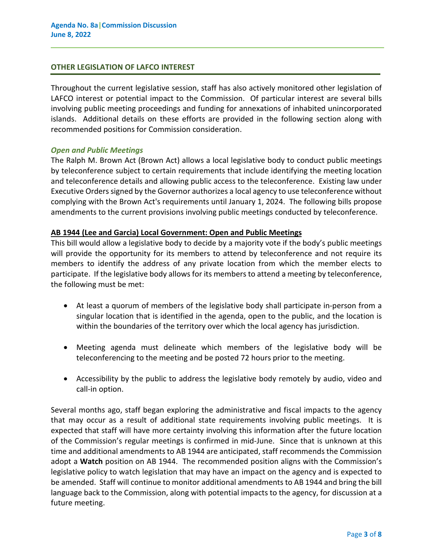# **OTHER LEGISLATION OF LAFCO INTEREST**

Throughout the current legislative session, staff has also actively monitored other legislation of LAFCO interest or potential impact to the Commission. Of particular interest are several bills involving public meeting proceedings and funding for annexations of inhabited unincorporated islands. Additional details on these efforts are provided in the following section along with recommended positions for Commission consideration.

# *Open and Public Meetings*

The Ralph M. Brown Act (Brown Act) allows a local legislative body to conduct public meetings by teleconference subject to certain requirements that include identifying the meeting location and teleconference details and allowing public access to the teleconference. Existing law under Executive Orders signed by the Governor authorizes a local agency to use teleconference without complying with the Brown Act's requirements until January 1, 2024. The following bills propose amendments to the current provisions involving public meetings conducted by teleconference.

# **AB 1944 (Lee and Garcia) Local Government: Open and Public Meetings**

This bill would allow a legislative body to decide by a majority vote if the body's public meetings will provide the opportunity for its members to attend by teleconference and not require its members to identify the address of any private location from which the member elects to participate. If the legislative body allows for its members to attend a meeting by teleconference, the following must be met:

- At least a quorum of members of the legislative body shall participate in-person from a singular location that is identified in the agenda, open to the public, and the location is within the boundaries of the territory over which the local agency has jurisdiction.
- Meeting agenda must delineate which members of the legislative body will be teleconferencing to the meeting and be posted 72 hours prior to the meeting.
- Accessibility by the public to address the legislative body remotely by audio, video and call-in option.

Several months ago, staff began exploring the administrative and fiscal impacts to the agency that may occur as a result of additional state requirements involving public meetings. It is expected that staff will have more certainty involving this information after the future location of the Commission's regular meetings is confirmed in mid-June. Since that is unknown at this time and additional amendments to AB 1944 are anticipated, staff recommends the Commission adopt a **Watch** position on AB 1944. The recommended position aligns with the Commission's legislative policy to watch legislation that may have an impact on the agency and is expected to be amended. Staff will continue to monitor additional amendments to AB 1944 and bring the bill language back to the Commission, along with potential impacts to the agency, for discussion at a future meeting.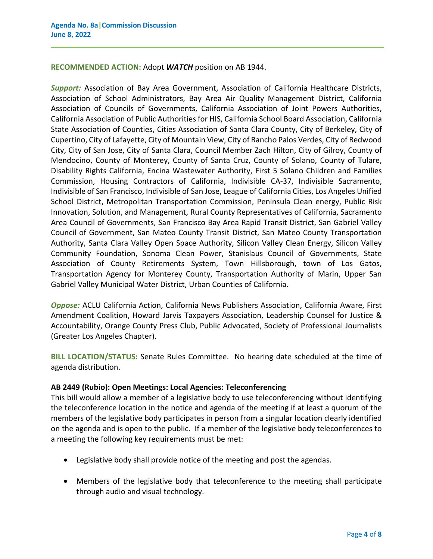# **RECOMMENDED ACTION:** Adopt *WATCH* position on AB 1944.

*Support:* Association of Bay Area Government, Association of California Healthcare Districts, Association of School Administrators, Bay Area Air Quality Management District, California Association of Councils of Governments, California Association of Joint Powers Authorities, California Association of Public Authorities for HIS, California School Board Association, California State Association of Counties, Cities Association of Santa Clara County, City of Berkeley, City of Cupertino, City of Lafayette, City of Mountain View, City of Rancho Palos Verdes, City of Redwood City, City of San Jose, City of Santa Clara, Council Member Zach Hilton, City of Gilroy, County of Mendocino, County of Monterey, County of Santa Cruz, County of Solano, County of Tulare, Disability Rights California, Encina Wastewater Authority, First 5 Solano Children and Families Commission, Housing Contractors of California, Indivisible CA-37, Indivisible Sacramento, Indivisible of San Francisco, Indivisible of San Jose, League of California Cities, Los Angeles Unified School District, Metropolitan Transportation Commission, Peninsula Clean energy, Public Risk Innovation, Solution, and Management, Rural County Representatives of California, Sacramento Area Council of Governments, San Francisco Bay Area Rapid Transit District, San Gabriel Valley Council of Government, San Mateo County Transit District, San Mateo County Transportation Authority, Santa Clara Valley Open Space Authority, Silicon Valley Clean Energy, Silicon Valley Community Foundation, Sonoma Clean Power, Stanislaus Council of Governments, State Association of County Retirements System, Town Hillsborough, town of Los Gatos, Transportation Agency for Monterey County, Transportation Authority of Marin, Upper San Gabriel Valley Municipal Water District, Urban Counties of California.

*Oppose:* ACLU California Action, California News Publishers Association, California Aware, First Amendment Coalition, Howard Jarvis Taxpayers Association, Leadership Counsel for Justice & Accountability, Orange County Press Club, Public Advocated, Society of Professional Journalists (Greater Los Angeles Chapter).

**BILL LOCATION/STATUS:** Senate Rules Committee. No hearing date scheduled at the time of agenda distribution.

# **AB 2449 (Rubio): Open Meetings: Local Agencies: Teleconferencing**

This bill would allow a member of a legislative body to use teleconferencing without identifying the teleconference location in the notice and agenda of the meeting if at least a quorum of the members of the legislative body participates in person from a singular location clearly identified on the agenda and is open to the public. If a member of the legislative body teleconferences to a meeting the following key requirements must be met:

- Legislative body shall provide notice of the meeting and post the agendas.
- Members of the legislative body that teleconference to the meeting shall participate through audio and visual technology.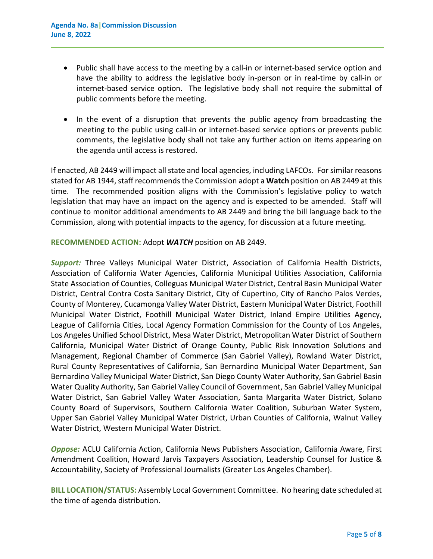- Public shall have access to the meeting by a call-in or internet-based service option and have the ability to address the legislative body in-person or in real-time by call-in or internet-based service option. The legislative body shall not require the submittal of public comments before the meeting.
- In the event of a disruption that prevents the public agency from broadcasting the meeting to the public using call-in or internet-based service options or prevents public comments, the legislative body shall not take any further action on items appearing on the agenda until access is restored.

If enacted, AB 2449 will impact all state and local agencies, including LAFCOs. For similar reasons stated for AB 1944, staff recommends the Commission adopt a **Watch** position on AB 2449 at this time. The recommended position aligns with the Commission's legislative policy to watch legislation that may have an impact on the agency and is expected to be amended. Staff will continue to monitor additional amendments to AB 2449 and bring the bill language back to the Commission, along with potential impacts to the agency, for discussion at a future meeting.

**RECOMMENDED ACTION:** Adopt *WATCH* position on AB 2449.

*Support:* Three Valleys Municipal Water District, Association of California Health Districts, Association of California Water Agencies, California Municipal Utilities Association, California State Association of Counties, Colleguas Municipal Water District, Central Basin Municipal Water District, Central Contra Costa Sanitary District, City of Cupertino, City of Rancho Palos Verdes, County of Monterey, Cucamonga Valley Water District, Eastern Municipal Water District, Foothill Municipal Water District, Foothill Municipal Water District, Inland Empire Utilities Agency, League of California Cities, Local Agency Formation Commission for the County of Los Angeles, Los Angeles Unified School District, Mesa Water District, Metropolitan Water District of Southern California, Municipal Water District of Orange County, Public Risk Innovation Solutions and Management, Regional Chamber of Commerce (San Gabriel Valley), Rowland Water District, Rural County Representatives of California, San Bernardino Municipal Water Department, San Bernardino Valley Municipal Water District, San Diego County Water Authority, San Gabriel Basin Water Quality Authority, San Gabriel Valley Council of Government, San Gabriel Valley Municipal Water District, San Gabriel Valley Water Association, Santa Margarita Water District, Solano County Board of Supervisors, Southern California Water Coalition, Suburban Water System, Upper San Gabriel Valley Municipal Water District, Urban Counties of California, Walnut Valley Water District, Western Municipal Water District.

*Oppose:* ACLU California Action, California News Publishers Association, California Aware, First Amendment Coalition, Howard Jarvis Taxpayers Association, Leadership Counsel for Justice & Accountability, Society of Professional Journalists (Greater Los Angeles Chamber).

**BILL LOCATION/STATUS:** Assembly Local Government Committee. No hearing date scheduled at the time of agenda distribution.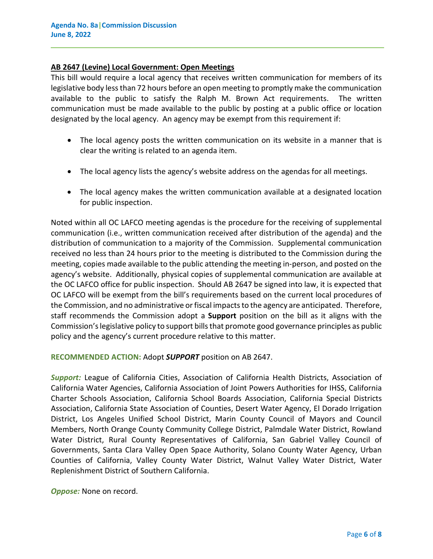# **AB 2647 (Levine) Local Government: Open Meetings**

This bill would require a local agency that receives written communication for members of its legislative body less than 72 hours before an open meeting to promptly make the communication available to the public to satisfy the Ralph M. Brown Act requirements. The written communication must be made available to the public by posting at a public office or location designated by the local agency. An agency may be exempt from this requirement if:

- The local agency posts the written communication on its website in a manner that is clear the writing is related to an agenda item.
- The local agency lists the agency's website address on the agendas for all meetings.
- The local agency makes the written communication available at a designated location for public inspection.

Noted within all OC LAFCO meeting agendas is the procedure for the receiving of supplemental communication (i.e., written communication received after distribution of the agenda) and the distribution of communication to a majority of the Commission. Supplemental communication received no less than 24 hours prior to the meeting is distributed to the Commission during the meeting, copies made available to the public attending the meeting in-person, and posted on the agency's website. Additionally, physical copies of supplemental communication are available at the OC LAFCO office for public inspection. Should AB 2647 be signed into law, it is expected that OC LAFCO will be exempt from the bill's requirements based on the current local procedures of the Commission, and no administrative or fiscal impacts to the agency are anticipated. Therefore, staff recommends the Commission adopt a **Support** position on the bill as it aligns with the Commission's legislative policy to support bills that promote good governance principles as public policy and the agency's current procedure relative to this matter.

**RECOMMENDED ACTION:** Adopt *SUPPORT* position on AB 2647.

*Support:* League of California Cities, Association of California Health Districts, Association of California Water Agencies, California Association of Joint Powers Authorities for IHSS, California Charter Schools Association, California School Boards Association, California Special Districts Association, California State Association of Counties, Desert Water Agency, El Dorado Irrigation District, Los Angeles Unified School District, Marin County Council of Mayors and Council Members, North Orange County Community College District, Palmdale Water District, Rowland Water District, Rural County Representatives of California, San Gabriel Valley Council of Governments, Santa Clara Valley Open Space Authority, Solano County Water Agency, Urban Counties of California, Valley County Water District, Walnut Valley Water District, Water Replenishment District of Southern California.

*Oppose:* None on record.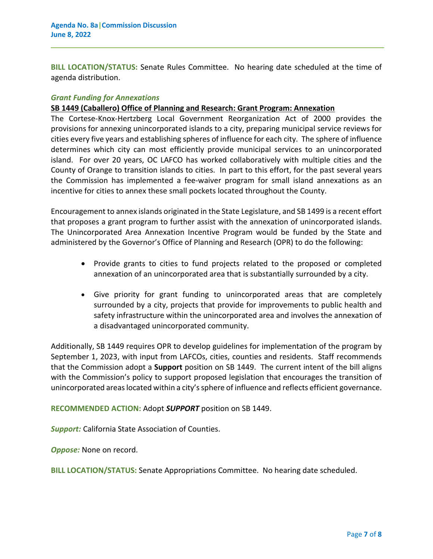**BILL LOCATION/STATUS:** Senate Rules Committee. No hearing date scheduled at the time of agenda distribution.

## *Grant Funding for Annexations*

# **SB 1449 (Caballero) Office of Planning and Research: Grant Program: Annexation**

The Cortese-Knox-Hertzberg Local Government Reorganization Act of 2000 provides the provisions for annexing unincorporated islands to a city, preparing municipal service reviews for cities every five years and establishing spheres of influence for each city. The sphere of influence determines which city can most efficiently provide municipal services to an unincorporated island. For over 20 years, OC LAFCO has worked collaboratively with multiple cities and the County of Orange to transition islands to cities. In part to this effort, for the past several years the Commission has implemented a fee-waiver program for small island annexations as an incentive for cities to annex these small pockets located throughout the County.

Encouragement to annex islands originated in the State Legislature, and SB 1499 is a recent effort that proposes a grant program to further assist with the annexation of unincorporated islands. The Unincorporated Area Annexation Incentive Program would be funded by the State and administered by the Governor's Office of Planning and Research (OPR) to do the following:

- Provide grants to cities to fund projects related to the proposed or completed annexation of an unincorporated area that is substantially surrounded by a city.
- Give priority for grant funding to unincorporated areas that are completely surrounded by a city, projects that provide for improvements to public health and safety infrastructure within the unincorporated area and involves the annexation of a disadvantaged unincorporated community.

Additionally, SB 1449 requires OPR to develop guidelines for implementation of the program by September 1, 2023, with input from LAFCOs, cities, counties and residents. Staff recommends that the Commission adopt a **Support** position on SB 1449. The current intent of the bill aligns with the Commission's policy to support proposed legislation that encourages the transition of unincorporated areas located within a city's sphere of influence and reflects efficient governance.

**RECOMMENDED ACTION:** Adopt *SUPPORT* position on SB 1449.

*Support:* California State Association of Counties.

*Oppose:* None on record.

**BILL LOCATION/STATUS:** Senate Appropriations Committee. No hearing date scheduled.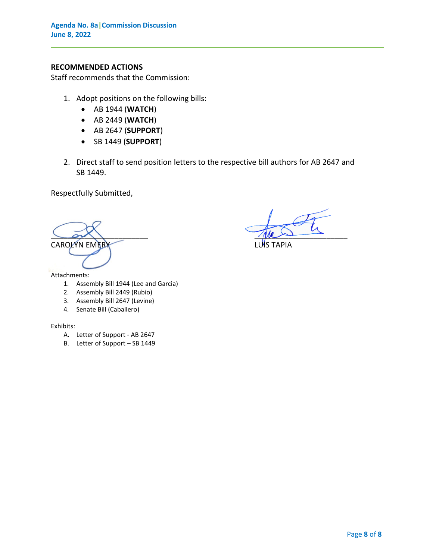# **RECOMMENDED ACTIONS**

Staff recommends that the Commission:

- 1. Adopt positions on the following bills:
	- AB 1944 (**WATCH**)
	- AB 2449 (**WATCH**)
	- AB 2647 (**SUPPORT**)
	- SB 1449 (**SUPPORT**)
- 2. Direct staff to send position letters to the respective bill authors for AB 2647 and SB 1449.

Respectfully Submitted,

\_\_\_\_\_\_\_\_\_\_\_\_\_\_\_\_\_\_\_\_\_\_\_ \_\_\_\_\_\_\_\_\_\_\_\_\_\_\_\_\_\_\_\_\_\_ CAROLYN EMERY **EXAMPLE AND A CONSTANT CAROLYN EMERY** 

Attachments:

- 1. Assembly Bill 1944 (Lee and Garcia)
- 2. Assembly Bill 2449 (Rubio)
- 3. Assembly Bill 2647 (Levine)
- 4. Senate Bill (Caballero)

Exhibits:

- A. Letter of Support AB 2647
- B. Letter of Support SB 1449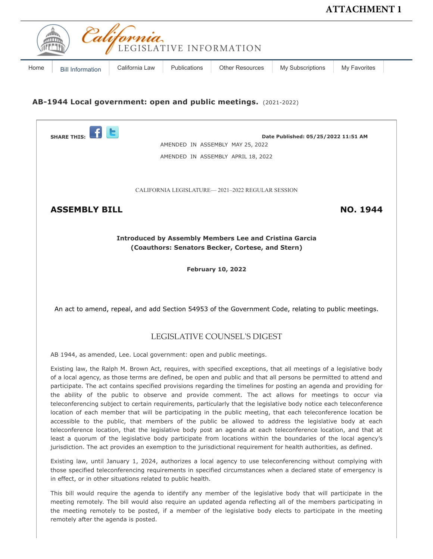

# **AB-1944 Local government: open and public meetings.** (2021-2022)

| <b>SHARE THIS:</b><br>Date Published: 05/25/2022 11:51 AM<br>AMENDED IN ASSEMBLY MAY 25, 2022<br>AMENDED IN ASSEMBLY APRIL 18, 2022                                                                                                                                                                                                                                                                                                                                                                                                                                                                                                                                                                                                                                                                                                                                                                                                                                                                                                                                                                                                                                             |
|---------------------------------------------------------------------------------------------------------------------------------------------------------------------------------------------------------------------------------------------------------------------------------------------------------------------------------------------------------------------------------------------------------------------------------------------------------------------------------------------------------------------------------------------------------------------------------------------------------------------------------------------------------------------------------------------------------------------------------------------------------------------------------------------------------------------------------------------------------------------------------------------------------------------------------------------------------------------------------------------------------------------------------------------------------------------------------------------------------------------------------------------------------------------------------|
| CALIFORNIA LEGISLATURE— 2021-2022 REGULAR SESSION                                                                                                                                                                                                                                                                                                                                                                                                                                                                                                                                                                                                                                                                                                                                                                                                                                                                                                                                                                                                                                                                                                                               |
| <b>NO. 1944</b><br><b>ASSEMBLY BILL</b>                                                                                                                                                                                                                                                                                                                                                                                                                                                                                                                                                                                                                                                                                                                                                                                                                                                                                                                                                                                                                                                                                                                                         |
| <b>Introduced by Assembly Members Lee and Cristina Garcia</b><br>(Coauthors: Senators Becker, Cortese, and Stern)                                                                                                                                                                                                                                                                                                                                                                                                                                                                                                                                                                                                                                                                                                                                                                                                                                                                                                                                                                                                                                                               |
| <b>February 10, 2022</b>                                                                                                                                                                                                                                                                                                                                                                                                                                                                                                                                                                                                                                                                                                                                                                                                                                                                                                                                                                                                                                                                                                                                                        |
| An act to amend, repeal, and add Section 54953 of the Government Code, relating to public meetings.<br><b>LEGISLATIVE COUNSEL'S DIGEST</b>                                                                                                                                                                                                                                                                                                                                                                                                                                                                                                                                                                                                                                                                                                                                                                                                                                                                                                                                                                                                                                      |
| AB 1944, as amended, Lee. Local government: open and public meetings.                                                                                                                                                                                                                                                                                                                                                                                                                                                                                                                                                                                                                                                                                                                                                                                                                                                                                                                                                                                                                                                                                                           |
| Existing law, the Ralph M. Brown Act, requires, with specified exceptions, that all meetings of a legislative body<br>of a local agency, as those terms are defined, be open and public and that all persons be permitted to attend and<br>participate. The act contains specified provisions regarding the timelines for posting an agenda and providing for<br>the ability of the public to observe and provide comment. The act allows for meetings to occur via<br>teleconferencing subject to certain requirements, particularly that the legislative body notice each teleconference<br>location of each member that will be participating in the public meeting, that each teleconference location be<br>accessible to the public, that members of the public be allowed to address the legislative body at each<br>teleconference location, that the legislative body post an agenda at each teleconference location, and that at<br>least a quorum of the legislative body participate from locations within the boundaries of the local agency's<br>jurisdiction. The act provides an exemption to the jurisdictional requirement for health authorities, as defined. |

Existing law, until January 1, 2024, authorizes a local agency to use teleconferencing without complying with those specified teleconferencing requirements in specified circumstances when a declared state of emergency is in effect, or in other situations related to public health.

This bill would require the agenda to identify any member of the legislative body that will participate in the meeting remotely. The bill would also require an updated agenda reflecting all of the members participating in the meeting remotely to be posted, if a member of the legislative body elects to participate in the meeting remotely after the agenda is posted.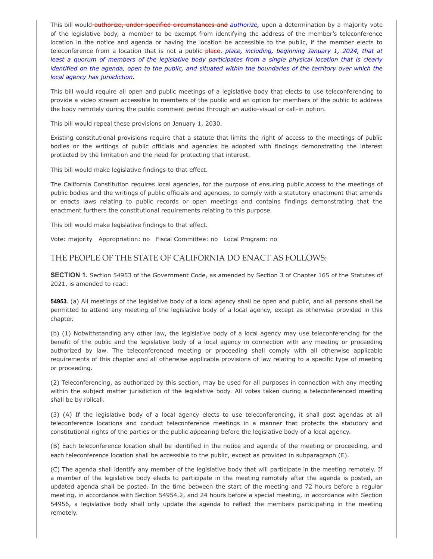This bill would-authorize, under specified circumstances and *authorize*, upon a determination by a majority vote of the legislative body, a member to be exempt from identifying the address of the member's teleconference location in the notice and agenda or having the location be accessible to the public, if the member elects to teleconference from a location that is not a public place. *place, including, beginning January 1, 2024, that at* least a quorum of members of the legislative body participates from a single physical location that is clearly identified on the agenda, open to the public, and situated within the boundaries of the territory over which the *local agency has jurisdiction.*

This bill would require all open and public meetings of a legislative body that elects to use teleconferencing to provide a video stream accessible to members of the public and an option for members of the public to address the body remotely during the public comment period through an audio-visual or call-in option.

This bill would repeal these provisions on January 1, 2030.

Existing constitutional provisions require that a statute that limits the right of access to the meetings of public bodies or the writings of public officials and agencies be adopted with findings demonstrating the interest protected by the limitation and the need for protecting that interest.

This bill would make legislative findings to that effect.

The California Constitution requires local agencies, for the purpose of ensuring public access to the meetings of public bodies and the writings of public officials and agencies, to comply with a statutory enactment that amends or enacts laws relating to public records or open meetings and contains findings demonstrating that the enactment furthers the constitutional requirements relating to this purpose.

This bill would make legislative findings to that effect.

Vote: majority Appropriation: no Fiscal Committee: no Local Program: no

## THE PEOPLE OF THE STATE OF CALIFORNIA DO ENACT AS FOLLOWS:

**SECTION 1.** Section 54953 of the Government Code, as amended by Section 3 of Chapter 165 of the Statutes of 2021, is amended to read:

**54953.** (a) All meetings of the legislative body of a local agency shall be open and public, and all persons shall be permitted to attend any meeting of the legislative body of a local agency, except as otherwise provided in this chapter.

(b) (1) Notwithstanding any other law, the legislative body of a local agency may use teleconferencing for the benefit of the public and the legislative body of a local agency in connection with any meeting or proceeding authorized by law. The teleconferenced meeting or proceeding shall comply with all otherwise applicable requirements of this chapter and all otherwise applicable provisions of law relating to a specific type of meeting or proceeding.

(2) Teleconferencing, as authorized by this section, may be used for all purposes in connection with any meeting within the subject matter jurisdiction of the legislative body. All votes taken during a teleconferenced meeting shall be by rollcall.

(3) (A) If the legislative body of a local agency elects to use teleconferencing, it shall post agendas at all teleconference locations and conduct teleconference meetings in a manner that protects the statutory and constitutional rights of the parties or the public appearing before the legislative body of a local agency.

(B) Each teleconference location shall be identified in the notice and agenda of the meeting or proceeding, and each teleconference location shall be accessible to the public, except as provided in subparagraph (E).

(C) The agenda shall identify any member of the legislative body that will participate in the meeting remotely. If a member of the legislative body elects to participate in the meeting remotely after the agenda is posted, an updated agenda shall be posted. In the time between the start of the meeting and 72 hours before a regular meeting, in accordance with Section 54954.2, and 24 hours before a special meeting, in accordance with Section 54956, a legislative body shall only update the agenda to reflect the members participating in the meeting remotely.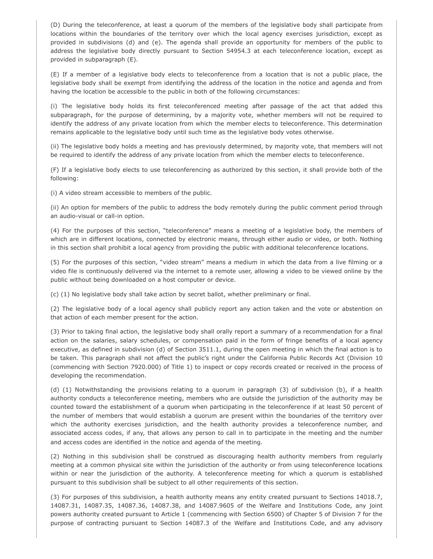(D) During the teleconference, at least a quorum of the members of the legislative body shall participate from locations within the boundaries of the territory over which the local agency exercises jurisdiction, except as provided in subdivisions (d) and (e). The agenda shall provide an opportunity for members of the public to address the legislative body directly pursuant to Section 54954.3 at each teleconference location, except as provided in subparagraph (E).

(E) If a member of a legislative body elects to teleconference from a location that is not a public place, the legislative body shall be exempt from identifying the address of the location in the notice and agenda and from having the location be accessible to the public in both of the following circumstances:

(i) The legislative body holds its first teleconferenced meeting after passage of the act that added this subparagraph, for the purpose of determining, by a majority vote, whether members will not be required to identify the address of any private location from which the member elects to teleconference. This determination remains applicable to the legislative body until such time as the legislative body votes otherwise.

(ii) The legislative body holds a meeting and has previously determined, by majority vote, that members will not be required to identify the address of any private location from which the member elects to teleconference.

(F) If a legislative body elects to use teleconferencing as authorized by this section, it shall provide both of the following:

(i) A video stream accessible to members of the public.

(ii) An option for members of the public to address the body remotely during the public comment period through an audio-visual or call-in option.

(4) For the purposes of this section, "teleconference" means a meeting of a legislative body, the members of which are in different locations, connected by electronic means, through either audio or video, or both. Nothing in this section shall prohibit a local agency from providing the public with additional teleconference locations.

(5) For the purposes of this section, "video stream" means a medium in which the data from a live filming or a video file is continuously delivered via the internet to a remote user, allowing a video to be viewed online by the public without being downloaded on a host computer or device.

(c) (1) No legislative body shall take action by secret ballot, whether preliminary or final.

(2) The legislative body of a local agency shall publicly report any action taken and the vote or abstention on that action of each member present for the action.

(3) Prior to taking final action, the legislative body shall orally report a summary of a recommendation for a final action on the salaries, salary schedules, or compensation paid in the form of fringe benefits of a local agency executive, as defined in subdivision (d) of Section 3511.1, during the open meeting in which the final action is to be taken. This paragraph shall not affect the public's right under the California Public Records Act (Division 10 (commencing with Section 7920.000) of Title 1) to inspect or copy records created or received in the process of developing the recommendation.

(d) (1) Notwithstanding the provisions relating to a quorum in paragraph (3) of subdivision (b), if a health authority conducts a teleconference meeting, members who are outside the jurisdiction of the authority may be counted toward the establishment of a quorum when participating in the teleconference if at least 50 percent of the number of members that would establish a quorum are present within the boundaries of the territory over which the authority exercises jurisdiction, and the health authority provides a teleconference number, and associated access codes, if any, that allows any person to call in to participate in the meeting and the number and access codes are identified in the notice and agenda of the meeting.

(2) Nothing in this subdivision shall be construed as discouraging health authority members from regularly meeting at a common physical site within the jurisdiction of the authority or from using teleconference locations within or near the jurisdiction of the authority. A teleconference meeting for which a quorum is established pursuant to this subdivision shall be subject to all other requirements of this section.

(3) For purposes of this subdivision, a health authority means any entity created pursuant to Sections 14018.7, 14087.31, 14087.35, 14087.36, 14087.38, and 14087.9605 of the Welfare and Institutions Code, any joint powers authority created pursuant to Article 1 (commencing with Section 6500) of Chapter 5 of Division 7 for the purpose of contracting pursuant to Section 14087.3 of the Welfare and Institutions Code, and any advisory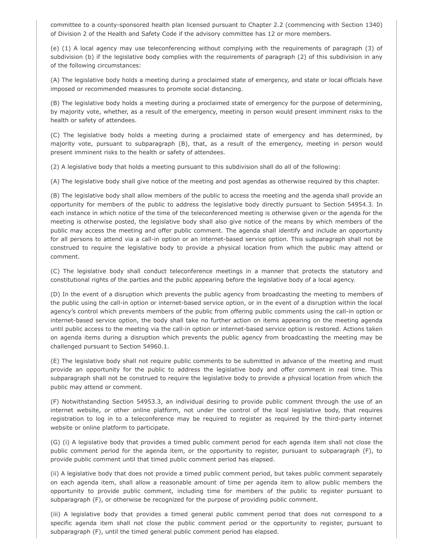committee to a county-sponsored health plan licensed pursuant to Chapter 2.2 (commencing with Section 1340) of Division 2 of the Health and Safety Code if the advisory committee has 12 or more members.

(e) (1) A local agency may use teleconferencing without complying with the requirements of paragraph (3) of subdivision (b) if the legislative body complies with the requirements of paragraph (2) of this subdivision in any of the following circumstances:

(A) The legislative body holds a meeting during a proclaimed state of emergency, and state or local officials have imposed or recommended measures to promote social distancing.

(B) The legislative body holds a meeting during a proclaimed state of emergency for the purpose of determining, by majority vote, whether, as a result of the emergency, meeting in person would present imminent risks to the health or safety of attendees.

(C) The legislative body holds a meeting during a proclaimed state of emergency and has determined, by majority vote, pursuant to subparagraph (B), that, as a result of the emergency, meeting in person would present imminent risks to the health or safety of attendees.

(2) A legislative body that holds a meeting pursuant to this subdivision shall do all of the following:

(A) The legislative body shall give notice of the meeting and post agendas as otherwise required by this chapter.

(B) The legislative body shall allow members of the public to access the meeting and the agenda shall provide an opportunity for members of the public to address the legislative body directly pursuant to Section 54954.3. In each instance in which notice of the time of the teleconferenced meeting is otherwise given or the agenda for the meeting is otherwise posted, the legislative body shall also give notice of the means by which members of the public may access the meeting and offer public comment. The agenda shall identify and include an opportunity for all persons to attend via a call-in option or an internet-based service option. This subparagraph shall not be construed to require the legislative body to provide a physical location from which the public may attend or comment.

(C) The legislative body shall conduct teleconference meetings in a manner that protects the statutory and constitutional rights of the parties and the public appearing before the legislative body of a local agency.

(D) In the event of a disruption which prevents the public agency from broadcasting the meeting to members of the public using the call-in option or internet-based service option, or in the event of a disruption within the local agency's control which prevents members of the public from offering public comments using the call-in option or internet-based service option, the body shall take no further action on items appearing on the meeting agenda until public access to the meeting via the call-in option or internet-based service option is restored. Actions taken on agenda items during a disruption which prevents the public agency from broadcasting the meeting may be challenged pursuant to Section 54960.1.

(E) The legislative body shall not require public comments to be submitted in advance of the meeting and must provide an opportunity for the public to address the legislative body and offer comment in real time. This subparagraph shall not be construed to require the legislative body to provide a physical location from which the public may attend or comment.

(F) Notwithstanding Section 54953.3, an individual desiring to provide public comment through the use of an internet website, or other online platform, not under the control of the local legislative body, that requires registration to log in to a teleconference may be required to register as required by the third-party internet website or online platform to participate.

(G) (i) A legislative body that provides a timed public comment period for each agenda item shall not close the public comment period for the agenda item, or the opportunity to register, pursuant to subparagraph (F), to provide public comment until that timed public comment period has elapsed.

(ii) A legislative body that does not provide a timed public comment period, but takes public comment separately on each agenda item, shall allow a reasonable amount of time per agenda item to allow public members the opportunity to provide public comment, including time for members of the public to register pursuant to subparagraph (F), or otherwise be recognized for the purpose of providing public comment.

(iii) A legislative body that provides a timed general public comment period that does not correspond to a specific agenda item shall not close the public comment period or the opportunity to register, pursuant to subparagraph (F), until the timed general public comment period has elapsed.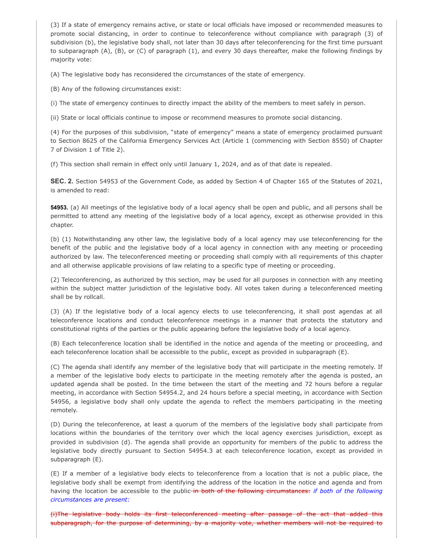(3) If a state of emergency remains active, or state or local officials have imposed or recommended measures to promote social distancing, in order to continue to teleconference without compliance with paragraph (3) of subdivision (b), the legislative body shall, not later than 30 days after teleconferencing for the first time pursuant to subparagraph (A), (B), or (C) of paragraph (1), and every 30 days thereafter, make the following findings by majority vote:

(A) The legislative body has reconsidered the circumstances of the state of emergency.

(B) Any of the following circumstances exist:

(i) The state of emergency continues to directly impact the ability of the members to meet safely in person.

(ii) State or local officials continue to impose or recommend measures to promote social distancing.

(4) For the purposes of this subdivision, "state of emergency" means a state of emergency proclaimed pursuant to Section 8625 of the California Emergency Services Act (Article 1 (commencing with Section 8550) of Chapter 7 of Division 1 of Title 2).

(f) This section shall remain in effect only until January 1, 2024, and as of that date is repealed.

**SEC. 2.** Section 54953 of the Government Code, as added by Section 4 of Chapter 165 of the Statutes of 2021, is amended to read:

**54953.** (a) All meetings of the legislative body of a local agency shall be open and public, and all persons shall be permitted to attend any meeting of the legislative body of a local agency, except as otherwise provided in this chapter.

(b) (1) Notwithstanding any other law, the legislative body of a local agency may use teleconferencing for the benefit of the public and the legislative body of a local agency in connection with any meeting or proceeding authorized by law. The teleconferenced meeting or proceeding shall comply with all requirements of this chapter and all otherwise applicable provisions of law relating to a specific type of meeting or proceeding.

(2) Teleconferencing, as authorized by this section, may be used for all purposes in connection with any meeting within the subject matter jurisdiction of the legislative body. All votes taken during a teleconferenced meeting shall be by rollcall.

(3) (A) If the legislative body of a local agency elects to use teleconferencing, it shall post agendas at all teleconference locations and conduct teleconference meetings in a manner that protects the statutory and constitutional rights of the parties or the public appearing before the legislative body of a local agency.

(B) Each teleconference location shall be identified in the notice and agenda of the meeting or proceeding, and each teleconference location shall be accessible to the public, except as provided in subparagraph (E).

(C) The agenda shall identify any member of the legislative body that will participate in the meeting remotely. If a member of the legislative body elects to participate in the meeting remotely after the agenda is posted, an updated agenda shall be posted. In the time between the start of the meeting and 72 hours before a regular meeting, in accordance with Section 54954.2, and 24 hours before a special meeting, in accordance with Section 54956, a legislative body shall only update the agenda to reflect the members participating in the meeting remotely.

(D) During the teleconference, at least a quorum of the members of the legislative body shall participate from locations within the boundaries of the territory over which the local agency exercises jurisdiction, except as provided in subdivision (d). The agenda shall provide an opportunity for members of the public to address the legislative body directly pursuant to Section 54954.3 at each teleconference location, except as provided in subparagraph (E).

(E) If a member of a legislative body elects to teleconference from a location that is not a public place, the legislative body shall be exempt from identifying the address of the location in the notice and agenda and from having the location be accessible to the public in both of the following circumstances: *if both of the following circumstances are present:*

(i)The legislative body holds its first teleconferenced meeting after passage of the act that added this subparagraph, for the purpose of determining, by a majority vote, whether members will not be required to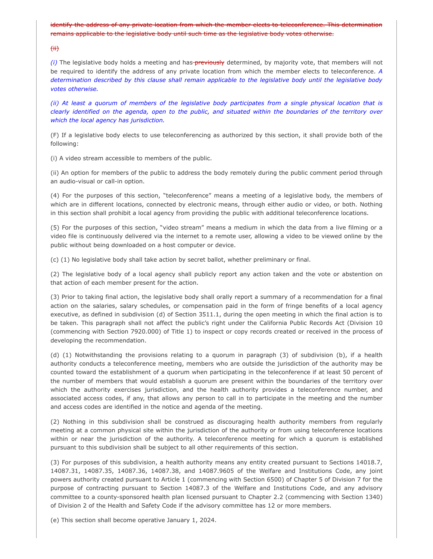identify the address of any private location from which the member elects to teleconference. This determination remains applicable to the legislative body until such time as the legislative body votes otherwise.

#### $f$ ii)

*(i)* The legislative body holds a meeting and has-previously determined, by majority vote, that members will not be required to identify the address of any private location from which the member elects to teleconference. *A determination described by this clause shall remain applicable to the legislative body until the legislative body votes otherwise.*

(ii) At least a quorum of members of the legislative body participates from a single physical location that is clearly identified on the agenda, open to the public, and situated within the boundaries of the territory over *which the local agency has jurisdiction.*

(F) If a legislative body elects to use teleconferencing as authorized by this section, it shall provide both of the following:

(i) A video stream accessible to members of the public.

(ii) An option for members of the public to address the body remotely during the public comment period through an audio-visual or call-in option.

(4) For the purposes of this section, "teleconference" means a meeting of a legislative body, the members of which are in different locations, connected by electronic means, through either audio or video, or both. Nothing in this section shall prohibit a local agency from providing the public with additional teleconference locations.

(5) For the purposes of this section, "video stream" means a medium in which the data from a live filming or a video file is continuously delivered via the internet to a remote user, allowing a video to be viewed online by the public without being downloaded on a host computer or device.

(c) (1) No legislative body shall take action by secret ballot, whether preliminary or final.

(2) The legislative body of a local agency shall publicly report any action taken and the vote or abstention on that action of each member present for the action.

(3) Prior to taking final action, the legislative body shall orally report a summary of a recommendation for a final action on the salaries, salary schedules, or compensation paid in the form of fringe benefits of a local agency executive, as defined in subdivision (d) of Section 3511.1, during the open meeting in which the final action is to be taken. This paragraph shall not affect the public's right under the California Public Records Act (Division 10 (commencing with Section 7920.000) of Title 1) to inspect or copy records created or received in the process of developing the recommendation.

(d) (1) Notwithstanding the provisions relating to a quorum in paragraph (3) of subdivision (b), if a health authority conducts a teleconference meeting, members who are outside the jurisdiction of the authority may be counted toward the establishment of a quorum when participating in the teleconference if at least 50 percent of the number of members that would establish a quorum are present within the boundaries of the territory over which the authority exercises jurisdiction, and the health authority provides a teleconference number, and associated access codes, if any, that allows any person to call in to participate in the meeting and the number and access codes are identified in the notice and agenda of the meeting.

(2) Nothing in this subdivision shall be construed as discouraging health authority members from regularly meeting at a common physical site within the jurisdiction of the authority or from using teleconference locations within or near the jurisdiction of the authority. A teleconference meeting for which a quorum is established pursuant to this subdivision shall be subject to all other requirements of this section.

(3) For purposes of this subdivision, a health authority means any entity created pursuant to Sections 14018.7, 14087.31, 14087.35, 14087.36, 14087.38, and 14087.9605 of the Welfare and Institutions Code, any joint powers authority created pursuant to Article 1 (commencing with Section 6500) of Chapter 5 of Division 7 for the purpose of contracting pursuant to Section 14087.3 of the Welfare and Institutions Code, and any advisory committee to a county-sponsored health plan licensed pursuant to Chapter 2.2 (commencing with Section 1340) of Division 2 of the Health and Safety Code if the advisory committee has 12 or more members.

(e) This section shall become operative January 1, 2024.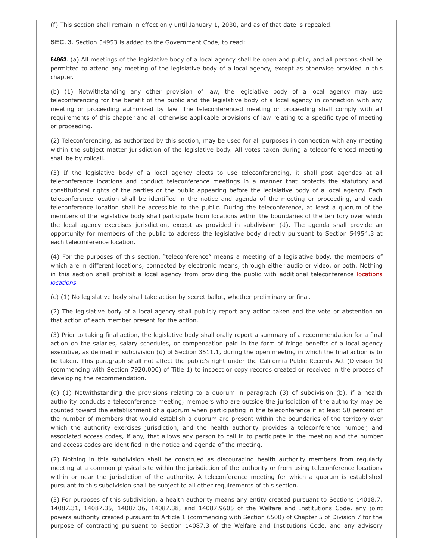(f) This section shall remain in effect only until January 1, 2030, and as of that date is repealed.

**SEC. 3.** Section 54953 is added to the Government Code, to read:

**54953.** (a) All meetings of the legislative body of a local agency shall be open and public, and all persons shall be permitted to attend any meeting of the legislative body of a local agency, except as otherwise provided in this chapter.

(b) (1) Notwithstanding any other provision of law, the legislative body of a local agency may use teleconferencing for the benefit of the public and the legislative body of a local agency in connection with any meeting or proceeding authorized by law. The teleconferenced meeting or proceeding shall comply with all requirements of this chapter and all otherwise applicable provisions of law relating to a specific type of meeting or proceeding.

(2) Teleconferencing, as authorized by this section, may be used for all purposes in connection with any meeting within the subject matter jurisdiction of the legislative body. All votes taken during a teleconferenced meeting shall be by rollcall.

(3) If the legislative body of a local agency elects to use teleconferencing, it shall post agendas at all teleconference locations and conduct teleconference meetings in a manner that protects the statutory and constitutional rights of the parties or the public appearing before the legislative body of a local agency. Each teleconference location shall be identified in the notice and agenda of the meeting or proceeding, and each teleconference location shall be accessible to the public. During the teleconference, at least a quorum of the members of the legislative body shall participate from locations within the boundaries of the territory over which the local agency exercises jurisdiction, except as provided in subdivision (d). The agenda shall provide an opportunity for members of the public to address the legislative body directly pursuant to Section 54954.3 at each teleconference location.

(4) For the purposes of this section, "teleconference" means a meeting of a legislative body, the members of which are in different locations, connected by electronic means, through either audio or video, or both. Nothing in this section shall prohibit a local agency from providing the public with additional teleconference-locations *locations.*

(c) (1) No legislative body shall take action by secret ballot, whether preliminary or final.

(2) The legislative body of a local agency shall publicly report any action taken and the vote or abstention on that action of each member present for the action.

(3) Prior to taking final action, the legislative body shall orally report a summary of a recommendation for a final action on the salaries, salary schedules, or compensation paid in the form of fringe benefits of a local agency executive, as defined in subdivision (d) of Section 3511.1, during the open meeting in which the final action is to be taken. This paragraph shall not affect the public's right under the California Public Records Act (Division 10 (commencing with Section 7920.000) of Title 1) to inspect or copy records created or received in the process of developing the recommendation.

(d) (1) Notwithstanding the provisions relating to a quorum in paragraph (3) of subdivision (b), if a health authority conducts a teleconference meeting, members who are outside the jurisdiction of the authority may be counted toward the establishment of a quorum when participating in the teleconference if at least 50 percent of the number of members that would establish a quorum are present within the boundaries of the territory over which the authority exercises jurisdiction, and the health authority provides a teleconference number, and associated access codes, if any, that allows any person to call in to participate in the meeting and the number and access codes are identified in the notice and agenda of the meeting.

(2) Nothing in this subdivision shall be construed as discouraging health authority members from regularly meeting at a common physical site within the jurisdiction of the authority or from using teleconference locations within or near the jurisdiction of the authority. A teleconference meeting for which a quorum is established pursuant to this subdivision shall be subject to all other requirements of this section.

(3) For purposes of this subdivision, a health authority means any entity created pursuant to Sections 14018.7, 14087.31, 14087.35, 14087.36, 14087.38, and 14087.9605 of the Welfare and Institutions Code, any joint powers authority created pursuant to Article 1 (commencing with Section 6500) of Chapter 5 of Division 7 for the purpose of contracting pursuant to Section 14087.3 of the Welfare and Institutions Code, and any advisory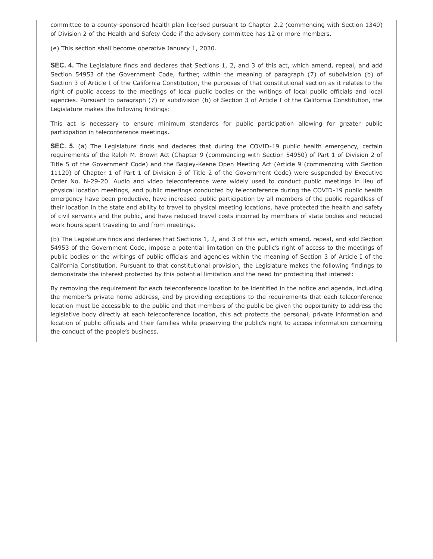committee to a county-sponsored health plan licensed pursuant to Chapter 2.2 (commencing with Section 1340) of Division 2 of the Health and Safety Code if the advisory committee has 12 or more members.

(e) This section shall become operative January 1, 2030.

**SEC. 4.** The Legislature finds and declares that Sections 1, 2, and 3 of this act, which amend, repeal, and add Section 54953 of the Government Code, further, within the meaning of paragraph (7) of subdivision (b) of Section 3 of Article I of the California Constitution, the purposes of that constitutional section as it relates to the right of public access to the meetings of local public bodies or the writings of local public officials and local agencies. Pursuant to paragraph (7) of subdivision (b) of Section 3 of Article I of the California Constitution, the Legislature makes the following findings:

This act is necessary to ensure minimum standards for public participation allowing for greater public participation in teleconference meetings.

**SEC. 5.** (a) The Legislature finds and declares that during the COVID-19 public health emergency, certain requirements of the Ralph M. Brown Act (Chapter 9 (commencing with Section 54950) of Part 1 of Division 2 of Title 5 of the Government Code) and the Bagley-Keene Open Meeting Act (Article 9 (commencing with Section 11120) of Chapter 1 of Part 1 of Division 3 of Title 2 of the Government Code) were suspended by Executive Order No. N-29-20. Audio and video teleconference were widely used to conduct public meetings in lieu of physical location meetings, and public meetings conducted by teleconference during the COVID-19 public health emergency have been productive, have increased public participation by all members of the public regardless of their location in the state and ability to travel to physical meeting locations, have protected the health and safety of civil servants and the public, and have reduced travel costs incurred by members of state bodies and reduced work hours spent traveling to and from meetings.

(b) The Legislature finds and declares that Sections 1, 2, and 3 of this act, which amend, repeal, and add Section 54953 of the Government Code, impose a potential limitation on the public's right of access to the meetings of public bodies or the writings of public officials and agencies within the meaning of Section 3 of Article I of the California Constitution. Pursuant to that constitutional provision, the Legislature makes the following findings to demonstrate the interest protected by this potential limitation and the need for protecting that interest:

By removing the requirement for each teleconference location to be identified in the notice and agenda, including the member's private home address, and by providing exceptions to the requirements that each teleconference location must be accessible to the public and that members of the public be given the opportunity to address the legislative body directly at each teleconference location, this act protects the personal, private information and location of public officials and their families while preserving the public's right to access information concerning the conduct of the people's business.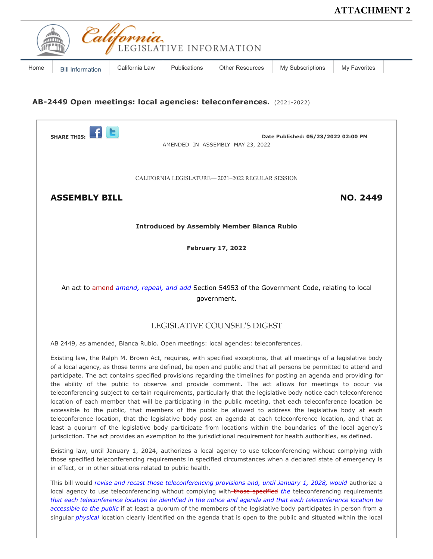# **ATTACHMENT 2**

<span id="page-16-0"></span>

# **AB-2449 Open meetings: local agencies: teleconferences.** (2021-2022)



teleconferencing subject to certain requirements, particularly that the legislative body notice each teleconference location of each member that will be participating in the public meeting, that each teleconference location be accessible to the public, that members of the public be allowed to address the legislative body at each teleconference location, that the legislative body post an agenda at each teleconference location, and that at least a quorum of the legislative body participate from locations within the boundaries of the local agency's jurisdiction. The act provides an exemption to the jurisdictional requirement for health authorities, as defined.

Existing law, until January 1, 2024, authorizes a local agency to use teleconferencing without complying with those specified teleconferencing requirements in specified circumstances when a declared state of emergency is in effect, or in other situations related to public health.

This bill would *revise and recast those teleconferencing provisions and, until January 1, 2028, would* authorize a local agency to use teleconferencing without complying with those specified the teleconferencing requirements *that each teleconference location be identified in the notice and agenda and that each teleconference location be accessible to the public* if at least a quorum of the members of the legislative body participates in person from a singular *physical* location clearly identified on the agenda that is open to the public and situated within the local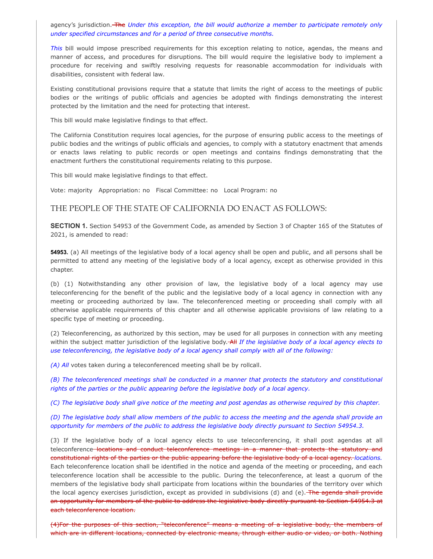agency's jurisdiction. The *Under this exception, the bill would authorize a member to participate remotely only under specified circumstances and for a period of three consecutive months.*

*This* bill would impose prescribed requirements for this exception relating to notice, agendas, the means and manner of access, and procedures for disruptions. The bill would require the legislative body to implement a procedure for receiving and swiftly resolving requests for reasonable accommodation for individuals with disabilities, consistent with federal law.

Existing constitutional provisions require that a statute that limits the right of access to the meetings of public bodies or the writings of public officials and agencies be adopted with findings demonstrating the interest protected by the limitation and the need for protecting that interest.

This bill would make legislative findings to that effect.

The California Constitution requires local agencies, for the purpose of ensuring public access to the meetings of public bodies and the writings of public officials and agencies, to comply with a statutory enactment that amends or enacts laws relating to public records or open meetings and contains findings demonstrating that the enactment furthers the constitutional requirements relating to this purpose.

This bill would make legislative findings to that effect.

Vote: majority Appropriation: no Fiscal Committee: no Local Program: no

## THE PEOPLE OF THE STATE OF CALIFORNIA DO ENACT AS FOLLOWS:

**SECTION 1.** Section 54953 of the Government Code, as amended by Section 3 of Chapter 165 of the Statutes of 2021, is amended to read:

**54953.** (a) All meetings of the legislative body of a local agency shall be open and public, and all persons shall be permitted to attend any meeting of the legislative body of a local agency, except as otherwise provided in this chapter.

(b) (1) Notwithstanding any other provision of law, the legislative body of a local agency may use teleconferencing for the benefit of the public and the legislative body of a local agency in connection with any meeting or proceeding authorized by law. The teleconferenced meeting or proceeding shall comply with all otherwise applicable requirements of this chapter and all otherwise applicable provisions of law relating to a specific type of meeting or proceeding.

(2) Teleconferencing, as authorized by this section, may be used for all purposes in connection with any meeting within the subject matter jurisdiction of the legislative body. All *If the legislative body of a local agency elects to use teleconferencing, the legislative body of a local agency shall comply with all of the following:*

*(A) All* votes taken during a teleconferenced meeting shall be by rollcall.

*(B) The teleconferenced meetings shall be conducted in a manner that protects the statutory and constitutional rights of the parties or the public appearing before the legislative body of a local agency.*

(C) The legislative body shall give notice of the meeting and post agendas as otherwise required by this chapter.

(D) The legislative body shall allow members of the public to access the meeting and the agenda shall provide an *opportunity for members of the public to address the legislative body directly pursuant to Section 54954.3.*

(3) If the legislative body of a local agency elects to use teleconferencing, it shall post agendas at all teleconference locations and conduct teleconference meetings in a manner that protects the statutory and constitutional rights of the parties or the public appearing before the legislative body of a local agency. *locations.* Each teleconference location shall be identified in the notice and agenda of the meeting or proceeding, and each teleconference location shall be accessible to the public. During the teleconference, at least a quorum of the members of the legislative body shall participate from locations within the boundaries of the territory over which the local agency exercises jurisdiction, except as provided in subdivisions (d) and (e). The agenda shall provide an opportunity for members of the public to address the legislative body directly pursuant to Section 54954.3 at each teleconference location.

(4)For the purposes of this section, "teleconference" means a meeting of a legislative body, the members of which are in different locations, connected by electronic means, through either audio or video, or both. Nothing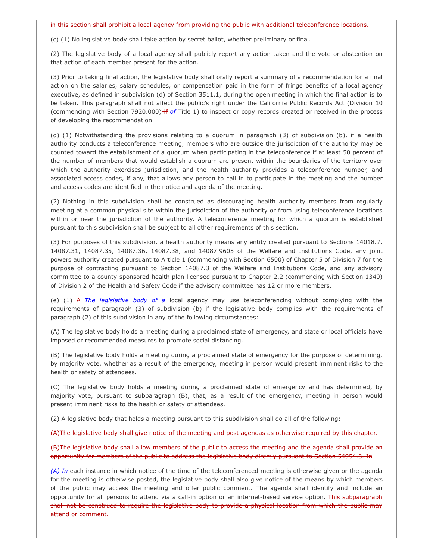#### in this section shall prohibit a local agency from providing the public with additional teleconference locations.

(c) (1) No legislative body shall take action by secret ballot, whether preliminary or final.

(2) The legislative body of a local agency shall publicly report any action taken and the vote or abstention on that action of each member present for the action.

(3) Prior to taking final action, the legislative body shall orally report a summary of a recommendation for a final action on the salaries, salary schedules, or compensation paid in the form of fringe benefits of a local agency executive, as defined in subdivision (d) of Section 3511.1, during the open meeting in which the final action is to be taken. This paragraph shall not affect the public's right under the California Public Records Act (Division 10 (commencing with Section 7920.000) if *of* Title 1) to inspect or copy records created or received in the process of developing the recommendation.

(d) (1) Notwithstanding the provisions relating to a quorum in paragraph (3) of subdivision (b), if a health authority conducts a teleconference meeting, members who are outside the jurisdiction of the authority may be counted toward the establishment of a quorum when participating in the teleconference if at least 50 percent of the number of members that would establish a quorum are present within the boundaries of the territory over which the authority exercises jurisdiction, and the health authority provides a teleconference number, and associated access codes, if any, that allows any person to call in to participate in the meeting and the number and access codes are identified in the notice and agenda of the meeting.

(2) Nothing in this subdivision shall be construed as discouraging health authority members from regularly meeting at a common physical site within the jurisdiction of the authority or from using teleconference locations within or near the jurisdiction of the authority. A teleconference meeting for which a quorum is established pursuant to this subdivision shall be subject to all other requirements of this section.

(3) For purposes of this subdivision, a health authority means any entity created pursuant to Sections 14018.7, 14087.31, 14087.35, 14087.36, 14087.38, and 14087.9605 of the Welfare and Institutions Code, any joint powers authority created pursuant to Article 1 (commencing with Section 6500) of Chapter 5 of Division 7 for the purpose of contracting pursuant to Section 14087.3 of the Welfare and Institutions Code, and any advisory committee to a county-sponsored health plan licensed pursuant to Chapter 2.2 (commencing with Section 1340) of Division 2 of the Health and Safety Code if the advisory committee has 12 or more members.

(e) (1) A *The legislative body of a* local agency may use teleconferencing without complying with the requirements of paragraph (3) of subdivision (b) if the legislative body complies with the requirements of paragraph (2) of this subdivision in any of the following circumstances:

(A) The legislative body holds a meeting during a proclaimed state of emergency, and state or local officials have imposed or recommended measures to promote social distancing.

(B) The legislative body holds a meeting during a proclaimed state of emergency for the purpose of determining, by majority vote, whether as a result of the emergency, meeting in person would present imminent risks to the health or safety of attendees.

(C) The legislative body holds a meeting during a proclaimed state of emergency and has determined, by majority vote, pursuant to subparagraph (B), that, as a result of the emergency, meeting in person would present imminent risks to the health or safety of attendees.

(2) A legislative body that holds a meeting pursuant to this subdivision shall do all of the following:

(A)The legislative body shall give notice of the meeting and post agendas as otherwise required by this chapter.

(B)The legislative body shall allow members of the public to access the meeting and the agenda shall provide an opportunity for members of the public to address the legislative body directly pursuant to Section 54954.3. In

*(A) In* each instance in which notice of the time of the teleconferenced meeting is otherwise given or the agenda for the meeting is otherwise posted, the legislative body shall also give notice of the means by which members of the public may access the meeting and offer public comment. The agenda shall identify and include an opportunity for all persons to attend via a call-in option or an internet-based service option. This subparagraph shall not be construed to require the legislative body to provide a physical location from which the public may attend or comment.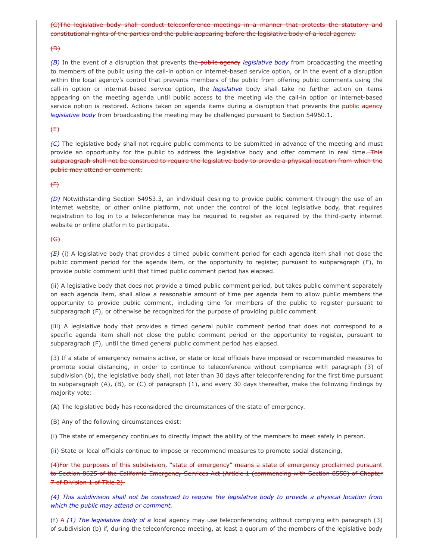(C)The legislative body shall conduct teleconference meetings in a manner that protects the statutory and constitutional rights of the parties and the public appearing before the legislative body of a local agency.

## $f<sub>CD</sub>$

*(B)* In the event of a disruption that prevents the public agency *legislative body* from broadcasting the meeting to members of the public using the call-in option or internet-based service option, or in the event of a disruption within the local agency's control that prevents members of the public from offering public comments using the call-in option or internet-based service option, the *legislative* body shall take no further action on items appearing on the meeting agenda until public access to the meeting via the call-in option or internet-based service option is restored. Actions taken on agenda items during a disruption that prevents the public agency *legislative body* from broadcasting the meeting may be challenged pursuant to Section 54960.1.

### (E)

*(C)* The legislative body shall not require public comments to be submitted in advance of the meeting and must provide an opportunity for the public to address the legislative body and offer comment in real time. This subparagraph shall not be construed to require the legislative body to provide a physical location from which the public may attend or comment.

#### $\leftrightarrow$

*(D)* Notwithstanding Section 54953.3, an individual desiring to provide public comment through the use of an internet website, or other online platform, not under the control of the local legislative body, that requires registration to log in to a teleconference may be required to register as required by the third-party internet website or online platform to participate.

## $<sub>(G)</sub>$ </sub>

*(E)* (i) A legislative body that provides a timed public comment period for each agenda item shall not close the public comment period for the agenda item, or the opportunity to register, pursuant to subparagraph (F), to provide public comment until that timed public comment period has elapsed.

(ii) A legislative body that does not provide a timed public comment period, but takes public comment separately on each agenda item, shall allow a reasonable amount of time per agenda item to allow public members the opportunity to provide public comment, including time for members of the public to register pursuant to subparagraph (F), or otherwise be recognized for the purpose of providing public comment.

(iii) A legislative body that provides a timed general public comment period that does not correspond to a specific agenda item shall not close the public comment period or the opportunity to register, pursuant to subparagraph (F), until the timed general public comment period has elapsed.

(3) If a state of emergency remains active, or state or local officials have imposed or recommended measures to promote social distancing, in order to continue to teleconference without compliance with paragraph (3) of subdivision (b), the legislative body shall, not later than 30 days after teleconferencing for the first time pursuant to subparagraph (A), (B), or (C) of paragraph (1), and every 30 days thereafter, make the following findings by majority vote:

(A) The legislative body has reconsidered the circumstances of the state of emergency.

(B) Any of the following circumstances exist:

(i) The state of emergency continues to directly impact the ability of the members to meet safely in person.

(ii) State or local officials continue to impose or recommend measures to promote social distancing.

(4)For the purposes of this subdivision, "state of emergency" means a state of emergency proclaimed pursuant to Section 8625 of the California Emergency Services Act (Article 1 (commencing with Section 8550) of Chapter 7 of Division 1 of Title 2).

(4) This subdivision shall not be construed to require the legislative body to provide a physical location from *which the public may attend or comment.*

(f) A *(1) The legislative body of a* local agency may use teleconferencing without complying with paragraph (3) of subdivision (b) if, during the teleconference meeting, at least a quorum of the members of the legislative body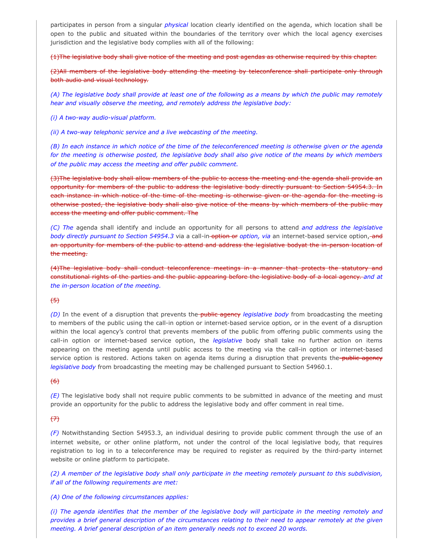participates in person from a singular *physical* location clearly identified on the agenda, which location shall be open to the public and situated within the boundaries of the territory over which the local agency exercises jurisdiction and the legislative body complies with all of the following:

(1)The legislative body shall give notice of the meeting and post agendas as otherwise required by this chapter.

(2)All members of the legislative body attending the meeting by teleconference shall participate only through both audio and visual technology.

(A) The legislative body shall provide at least one of the following as a means by which the public may remotely *hear and visually observe the meeting, and remotely address the legislative body:*

*(i) A two-way audio-visual platform.*

*(ii) A two-way telephonic service and a live webcasting of the meeting.*

*(B) In each instance in which notice of the time of the teleconferenced meeting is otherwise given or the agenda* for the meeting is otherwise posted, the legislative body shall also give notice of the means by which members *of the public may access the meeting and offer public comment.*

(3)The legislative body shall allow members of the public to access the meeting and the agenda shall provide an opportunity for members of the public to address the legislative body directly pursuant to Section 54954.3. In each instance in which notice of the time of the meeting is otherwise given or the agenda for the meeting is otherwise posted, the legislative body shall also give notice of the means by which members of the public may access the meeting and offer public comment. The

*(C) The* agenda shall identify and include an opportunity for all persons to attend *and address the legislative body directly pursuant to Section 54954.3* via a call-in-option or *option, via* an internet-based service option, and an opportunity for members of the public to attend and address the legislative bodyat the in-person location of the meeting.

(4)The legislative body shall conduct teleconference meetings in a manner that protects the statutory and constitutional rights of the parties and the public appearing before the legislative body of a local agency. *and at the in-person location of the meeting.*

## $<sup>5</sup>$ </sup>

*(D)* In the event of a disruption that prevents the public agency *legislative body* from broadcasting the meeting to members of the public using the call-in option or internet-based service option, or in the event of a disruption within the local agency's control that prevents members of the public from offering public comments using the call-in option or internet-based service option, the *legislative* body shall take no further action on items appearing on the meeting agenda until public access to the meeting via the call-in option or internet-based service option is restored. Actions taken on agenda items during a disruption that prevents the public agency *legislative body* from broadcasting the meeting may be challenged pursuant to Section 54960.1.

## $<sup>(6)</sup>$ </sup>

*(E)* The legislative body shall not require public comments to be submitted in advance of the meeting and must provide an opportunity for the public to address the legislative body and offer comment in real time.

## $(7)$

*(F)* Notwithstanding Section 54953.3, an individual desiring to provide public comment through the use of an internet website, or other online platform, not under the control of the local legislative body, that requires registration to log in to a teleconference may be required to register as required by the third-party internet website or online platform to participate.

(2) A member of the legislative body shall only participate in the meeting remotely pursuant to this subdivision, *if all of the following requirements are met:*

#### *(A) One of the following circumstances applies:*

(i) The agenda identifies that the member of the legislative body will participate in the meeting remotely and provides a brief general description of the circumstances relating to their need to appear remotely at the given *meeting. A brief general description of an item generally needs not to exceed 20 words.*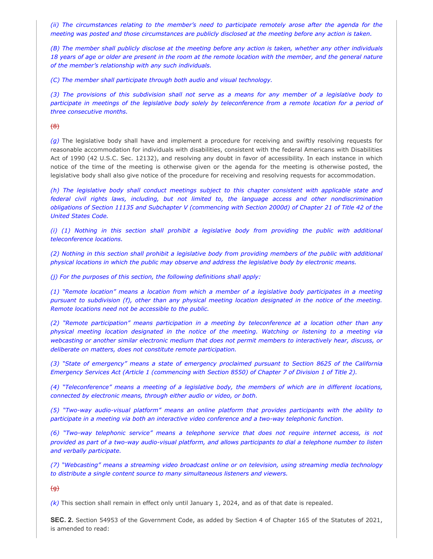(ii) The circumstances relating to the member's need to participate remotely arose after the agenda for the meeting was posted and those circumstances are publicly disclosed at the meeting before any action is taken.

(B) The member shall publicly disclose at the meeting before any action is taken, whether any other individuals 18 years of age or older are present in the room at the remote location with the member, and the general nature *of the member's relationship with any such individuals.*

*(C) The member shall participate through both audio and visual technology.*

(3) The provisions of this subdivision shall not serve as a means for any member of a legislative body to participate in meetings of the legislative body solely by teleconference from a remote location for a period of *three consecutive months.*

 $<sup>(8)</sup>$ </sup>

*(g)* The legislative body shall have and implement a procedure for receiving and swiftly resolving requests for reasonable accommodation for individuals with disabilities, consistent with the federal Americans with Disabilities Act of 1990 (42 U.S.C. Sec. 12132), and resolving any doubt in favor of accessibility. In each instance in which notice of the time of the meeting is otherwise given or the agenda for the meeting is otherwise posted, the legislative body shall also give notice of the procedure for receiving and resolving requests for accommodation.

*(h) The legislative body shall conduct meetings subject to this chapter consistent with applicable state and federal civil rights laws, including, but not limited to, the language access and other nondiscrimination* obligations of Section 11135 and Subchapter V (commencing with Section 2000d) of Chapter 21 of Title 42 of the *United States Code.*

*(i) (1) Nothing in this section shall prohibit a legislative body from providing the public with additional teleconference locations.*

(2) Nothing in this section shall prohibit a legislative body from providing members of the public with additional *physical locations in which the public may observe and address the legislative body by electronic means.*

*(j) For the purposes of this section, the following definitions shall apply:*

(1) "Remote location" means a location from which a member of a legislative body participates in a meeting *pursuant to subdivision (f), other than any physical meeting location designated in the notice of the meeting. Remote locations need not be accessible to the public.*

*(2) "Remote participation" means participation in a meeting by teleconference at a location other than any physical meeting location designated in the notice of the meeting. Watching or listening to a meeting via webcasting or another similar electronic medium that does not permit members to interactively hear, discuss, or deliberate on matters, does not constitute remote participation.*

*(3) "State of emergency" means a state of emergency proclaimed pursuant to Section 8625 of the California* Emergency Services Act (Article 1 (commencing with Section 8550) of Chapter 7 of Division 1 of Title 2).

(4) "Teleconference" means a meeting of a legislative body, the members of which are in different locations, *connected by electronic means, through either audio or video, or both.*

*(5) "Two-way audio-visual platform" means an online platform that provides participants with the ability to participate in a meeting via both an interactive video conference and a two-way telephonic function.*

*(6) "Two-way telephonic service" means a telephone service that does not require internet access, is not* provided as part of a two-way audio-visual platform, and allows participants to dial a telephone number to listen *and verbally participate.*

*(7) "Webcasting" means a streaming video broadcast online or on television, using streaming media technology to distribute a single content source to many simultaneous listeners and viewers.*

 $\left(\frac{d}{dx}\right)$ 

*(k)* This section shall remain in effect only until January 1, 2024, and as of that date is repealed.

**SEC. 2.** Section 54953 of the Government Code, as added by Section 4 of Chapter 165 of the Statutes of 2021, is amended to read: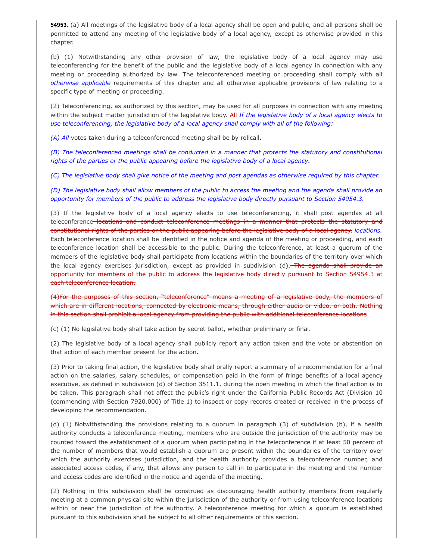**54953.** (a) All meetings of the legislative body of a local agency shall be open and public, and all persons shall be permitted to attend any meeting of the legislative body of a local agency, except as otherwise provided in this chapter.

(b) (1) Notwithstanding any other provision of law, the legislative body of a local agency may use teleconferencing for the benefit of the public and the legislative body of a local agency in connection with any meeting or proceeding authorized by law. The teleconferenced meeting or proceeding shall comply with all *otherwise applicable* requirements of this chapter and all otherwise applicable provisions of law relating to a specific type of meeting or proceeding.

(2) Teleconferencing, as authorized by this section, may be used for all purposes in connection with any meeting within the subject matter jurisdiction of the legislative body. All *If the legislative body of a local agency elects to use teleconferencing, the legislative body of a local agency shall comply with all of the following:*

*(A) All* votes taken during a teleconferenced meeting shall be by rollcall.

*(B) The teleconferenced meetings shall be conducted in a manner that protects the statutory and constitutional rights of the parties or the public appearing before the legislative body of a local agency.*

(C) The legislative body shall give notice of the meeting and post agendas as otherwise required by this chapter.

(D) The legislative body shall allow members of the public to access the meeting and the agenda shall provide an *opportunity for members of the public to address the legislative body directly pursuant to Section 54954.3.*

(3) If the legislative body of a local agency elects to use teleconferencing, it shall post agendas at all teleconference locations and conduct teleconference meetings in a manner that protects the statutory and constitutional rights of the parties or the public appearing before the legislative body of a local agency. *locations.* Each teleconference location shall be identified in the notice and agenda of the meeting or proceeding, and each teleconference location shall be accessible to the public. During the teleconference, at least a quorum of the members of the legislative body shall participate from locations within the boundaries of the territory over which the local agency exercises jurisdiction, except as provided in subdivision (d). The agenda shall provide an opportunity for members of the public to address the legislative body directly pursuant to Section 54954.3 at each teleconference location.

(4)For the purposes of this section, "teleconference" means a meeting of a legislative body, the members of which are in different locations, connected by electronic means, through either audio or video, or both. Nothing in this section shall prohibit a local agency from providing the public with additional teleconference locations

(c) (1) No legislative body shall take action by secret ballot, whether preliminary or final.

(2) The legislative body of a local agency shall publicly report any action taken and the vote or abstention on that action of each member present for the action.

(3) Prior to taking final action, the legislative body shall orally report a summary of a recommendation for a final action on the salaries, salary schedules, or compensation paid in the form of fringe benefits of a local agency executive, as defined in subdivision (d) of Section 3511.1, during the open meeting in which the final action is to be taken. This paragraph shall not affect the public's right under the California Public Records Act (Division 10 (commencing with Section 7920.000) of Title 1) to inspect or copy records created or received in the process of developing the recommendation.

(d) (1) Notwithstanding the provisions relating to a quorum in paragraph (3) of subdivision (b), if a health authority conducts a teleconference meeting, members who are outside the jurisdiction of the authority may be counted toward the establishment of a quorum when participating in the teleconference if at least 50 percent of the number of members that would establish a quorum are present within the boundaries of the territory over which the authority exercises jurisdiction, and the health authority provides a teleconference number, and associated access codes, if any, that allows any person to call in to participate in the meeting and the number and access codes are identified in the notice and agenda of the meeting.

(2) Nothing in this subdivision shall be construed as discouraging health authority members from regularly meeting at a common physical site within the jurisdiction of the authority or from using teleconference locations within or near the jurisdiction of the authority. A teleconference meeting for which a quorum is established pursuant to this subdivision shall be subject to all other requirements of this section.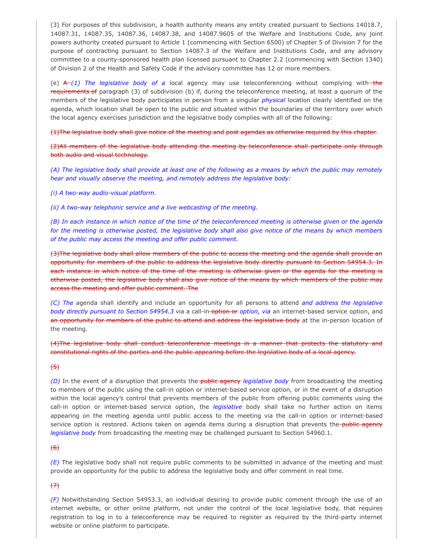(3) For purposes of this subdivision, a health authority means any entity created pursuant to Sections 14018.7, 14087.31, 14087.35, 14087.36, 14087.38, and 14087.9605 of the Welfare and Institutions Code, any joint powers authority created pursuant to Article 1 (commencing with Section 6500) of Chapter 5 of Division 7 for the purpose of contracting pursuant to Section 14087.3 of the Welfare and Institutions Code, and any advisory committee to a county-sponsored health plan licensed pursuant to Chapter 2.2 (commencing with Section 1340) of Division 2 of the Health and Safety Code if the advisory committee has 12 or more members.

(e) A *(1) The legislative body of a* local agency may use teleconferencing without complying with the requirements of paragraph (3) of subdivision (b) if, during the teleconference meeting, at least a quorum of the members of the legislative body participates in person from a singular *physical* location clearly identified on the agenda, which location shall be open to the public and situated within the boundaries of the territory over which the local agency exercises jurisdiction and the legislative body complies with all of the following:

(1)The legislative body shall give notice of the meeting and post agendas as otherwise required by this chapter.

(2)All members of the legislative body attending the meeting by teleconference shall participate only through both audio and visual technology.

(A) The legislative body shall provide at least one of the following as a means by which the public may remotely *hear and visually observe the meeting, and remotely address the legislative body:*

*(i) A two-way audio-visual platform.*

*(ii) A two-way telephonic service and a live webcasting of the meeting.*

(B) In each instance in which notice of the time of the teleconferenced meeting is otherwise given or the agenda for the meeting is otherwise posted, the legislative body shall also give notice of the means by which members *of the public may access the meeting and offer public comment.*

(3)The legislative body shall allow members of the public to access the meeting and the agenda shall provide an opportunity for members of the public to address the legislative body directly pursuant to Section 54954.3. In each instance in which notice of the time of the meeting is otherwise given or the agenda for the meeting is otherwise posted, the legislative body shall also give notice of the means by which members of the public may access the meeting and offer public comment. The

*(C) The* agenda shall identify and include an opportunity for all persons to attend *and address the legislative body directly pursuant to Section 54954.3* via a call-in-option or option, via an internet-based service option, and an opportunity for members of the public to attend and address the legislative body at the in-person location of the meeting.

(4)The legislative body shall conduct teleconference meetings in a manner that protects the statutory and constitutional rights of the parties and the public appearing before the legislative body of a local agency.

#### $<sup>(5)</sup>$ </sup>

*(D)* In the event of a disruption that prevents the public agency *legislative body* from broadcasting the meeting to members of the public using the call-in option or internet-based service option, or in the event of a disruption within the local agency's control that prevents members of the public from offering public comments using the call-in option or internet-based service option, the *legislative* body shall take no further action on items appearing on the meeting agenda until public access to the meeting via the call-in option or internet-based service option is restored. Actions taken on agenda items during a disruption that prevents the public agency *legislative body* from broadcasting the meeting may be challenged pursuant to Section 54960.1.

#### $~~(6)~~$ </del>

*(E)* The legislative body shall not require public comments to be submitted in advance of the meeting and must provide an opportunity for the public to address the legislative body and offer comment in real time.

## $\leftrightarrow$

*(F)* Notwithstanding Section 54953.3, an individual desiring to provide public comment through the use of an internet website, or other online platform, not under the control of the local legislative body, that requires registration to log in to a teleconference may be required to register as required by the third-party internet website or online platform to participate.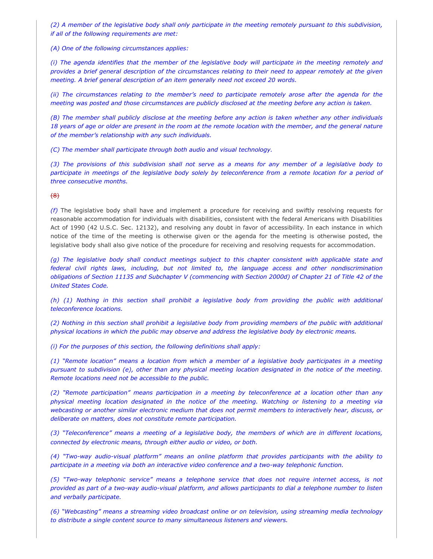(2) A member of the legislative body shall only participate in the meeting remotely pursuant to this subdivision, *if all of the following requirements are met:*

*(A) One of the following circumstances applies:*

(i) The agenda identifies that the member of the legislative body will participate in the meeting remotely and provides a brief general description of the circumstances relating to their need to appear remotely at the given *meeting. A brief general description of an item generally need not exceed 20 words.*

(ii) The circumstances relating to the member's need to participate remotely arose after the agenda for the meeting was posted and those circumstances are publicly disclosed at the meeting before any action is taken.

(B) The member shall publicly disclose at the meeting before any action is taken whether any other individuals 18 years of age or older are present in the room at the remote location with the member, and the general nature *of the member's relationship with any such individuals.*

*(C) The member shall participate through both audio and visual technology.*

(3) The provisions of this subdivision shall not serve as a means for any member of a legislative body to participate in meetings of the legislative body solely by teleconference from a remote location for a period of *three consecutive months.*

#### $f(8)$

*(f)* The legislative body shall have and implement a procedure for receiving and swiftly resolving requests for reasonable accommodation for individuals with disabilities, consistent with the federal Americans with Disabilities Act of 1990 (42 U.S.C. Sec. 12132), and resolving any doubt in favor of accessibility. In each instance in which notice of the time of the meeting is otherwise given or the agenda for the meeting is otherwise posted, the legislative body shall also give notice of the procedure for receiving and resolving requests for accommodation.

*(g) The legislative body shall conduct meetings subject to this chapter consistent with applicable state and federal civil rights laws, including, but not limited to, the language access and other nondiscrimination* obligations of Section 11135 and Subchapter V (commencing with Section 2000d) of Chapter 21 of Title 42 of the *United States Code.*

*(h) (1) Nothing in this section shall prohibit a legislative body from providing the public with additional teleconference locations.*

(2) Nothing in this section shall prohibit a legislative body from providing members of the public with additional *physical locations in which the public may observe and address the legislative body by electronic means.*

*(i) For the purposes of this section, the following definitions shall apply:*

(1) "Remote location" means a location from which a member of a legislative body participates in a meeting *pursuant to subdivision (e), other than any physical meeting location designated in the notice of the meeting. Remote locations need not be accessible to the public.*

*(2) "Remote participation" means participation in a meeting by teleconference at a location other than any physical meeting location designated in the notice of the meeting. Watching or listening to a meeting via webcasting or another similar electronic medium that does not permit members to interactively hear, discuss, or deliberate on matters, does not constitute remote participation.*

(3) "Teleconference" means a meeting of a legislative body, the members of which are in different locations, *connected by electronic means, through either audio or video, or both.*

*(4) "Two-way audio-visual platform" means an online platform that provides participants with the ability to participate in a meeting via both an interactive video conference and a two-way telephonic function.*

*(5) "Two-way telephonic service" means a telephone service that does not require internet access, is not* provided as part of a two-way audio-visual platform, and allows participants to dial a telephone number to listen *and verbally participate.*

*(6) "Webcasting" means a streaming video broadcast online or on television, using streaming media technology to distribute a single content source to many simultaneous listeners and viewers.*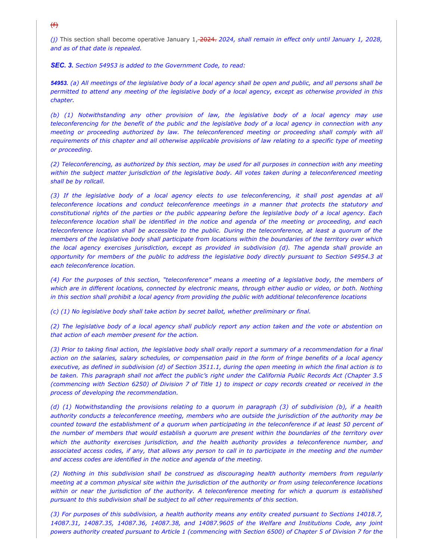$f(f)$ 

*(j)* This section shall become operative January 1, 2024. *2024, shall remain in effect only until January 1, 2028, and as of that date is repealed.*

*SEC. 3. Section 54953 is added to the Government Code, to read:*

54953. (a) All meetings of the legislative body of a local agency shall be open and public, and all persons shall be permitted to attend any meeting of the legislative body of a local agency, except as otherwise provided in this *chapter.*

*(b) (1) Notwithstanding any other provision of law, the legislative body of a local agency may use* teleconferencing for the benefit of the public and the legislative body of a local agency in connection with any *meeting or proceeding authorized by law. The teleconferenced meeting or proceeding shall comply with all* requirements of this chapter and all otherwise applicable provisions of law relating to a specific type of meeting *or proceeding.*

(2) Teleconferencing, as authorized by this section, may be used for all purposes in connection with any meeting *within the subject matter jurisdiction of the legislative body. All votes taken during a teleconferenced meeting shall be by rollcall.*

(3) If the legislative body of a local agency elects to use teleconferencing, it shall post agendas at all *teleconference locations and conduct teleconference meetings in a manner that protects the statutory and* constitutional rights of the parties or the public appearing before the legislative body of a local agency. Each *teleconference location shall be identified in the notice and agenda of the meeting or proceeding, and each teleconference location shall be accessible to the public. During the teleconference, at least a quorum of the* members of the legislative body shall participate from locations within the boundaries of the territory over which *the local agency exercises jurisdiction, except as provided in subdivision (d). The agenda shall provide an* opportunity for members of the public to address the legislative body directly pursuant to Section 54954.3 at *each teleconference location.*

(4) For the purposes of this section, "teleconference" means a meeting of a legislative body, the members of *which are in different locations, connected by electronic means, through either audio or video, or both. Nothing in this section shall prohibit a local agency from providing the public with additional teleconference locations*

*(c) (1) No legislative body shall take action by secret ballot, whether preliminary or final.*

(2) The legislative body of a local agency shall publicly report any action taken and the vote or abstention on *that action of each member present for the action.*

(3) Prior to taking final action, the legislative body shall orally report a summary of a recommendation for a final action on the salaries, salary schedules, or compensation paid in the form of fringe benefits of a local agency executive, as defined in subdivision (d) of Section 3511.1, during the open meeting in which the final action is to be taken. This paragraph shall not affect the public's right under the California Public Records Act (Chapter 3.5 (commencing with Section 6250) of Division 7 of Title 1) to inspect or copy records created or received in the *process of developing the recommendation.*

(d) (1) Notwithstanding the provisions relating to a quorum in paragraph (3) of subdivision (b), if a health *authority conducts a teleconference meeting, members who are outside the jurisdiction of the authority may be counted toward the establishment of a quorum when participating in the teleconference if at least 50 percent of* the number of members that would establish a quorum are present within the boundaries of the territory over *which the authority exercises jurisdiction, and the health authority provides a teleconference number, and* associated access codes, if any, that allows any person to call in to participate in the meeting and the number *and access codes are identified in the notice and agenda of the meeting.*

*(2) Nothing in this subdivision shall be construed as discouraging health authority members from regularly* meeting at a common physical site within the jurisdiction of the authority or from using teleconference locations *within or near the jurisdiction of the authority. A teleconference meeting for which a quorum is established pursuant to this subdivision shall be subject to all other requirements of this section.*

(3) For purposes of this subdivision, a health authority means any entity created pursuant to Sections 14018.7, *14087.31, 14087.35, 14087.36, 14087.38, and 14087.9605 of the Welfare and Institutions Code, any joint* powers authority created pursuant to Article 1 (commencing with Section 6500) of Chapter 5 of Division 7 for the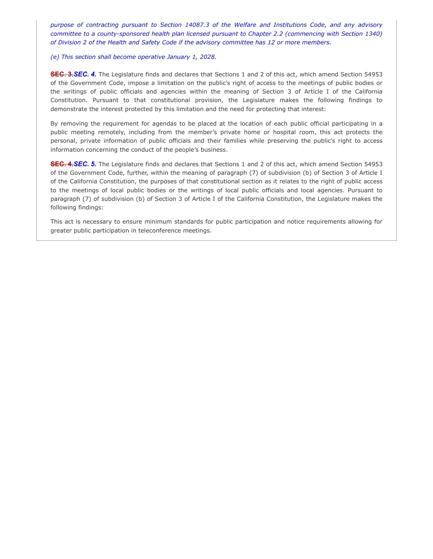*purpose of contracting pursuant to Section 14087.3 of the Welfare and Institutions Code, and any advisory committee to a county-sponsored health plan licensed pursuant to Chapter 2.2 (commencing with Section 1340) of Division 2 of the Health and Safety Code if the advisory committee has 12 or more members.*

#### *(e) This section shall become operative January 1, 2028.*

**SEC. 3.***SEC. 4.* The Legislature finds and declares that Sections 1 and 2 of this act, which amend Section 54953 of the Government Code, impose a limitation on the public's right of access to the meetings of public bodies or the writings of public officials and agencies within the meaning of Section 3 of Article I of the California Constitution. Pursuant to that constitutional provision, the Legislature makes the following findings to demonstrate the interest protected by this limitation and the need for protecting that interest:

By removing the requirement for agendas to be placed at the location of each public official participating in a public meeting remotely, including from the member's private home or hospital room, this act protects the personal, private information of public officials and their families while preserving the public's right to access information concerning the conduct of the people's business.

**SEC. 4.***SEC. 5.* The Legislature finds and declares that Sections 1 and 2 of this act, which amend Section 54953 of the Government Code, further, within the meaning of paragraph (7) of subdivision (b) of Section 3 of Article I of the California Constitution, the purposes of that constitutional section as it relates to the right of public access to the meetings of local public bodies or the writings of local public officials and local agencies. Pursuant to paragraph (7) of subdivision (b) of Section 3 of Article I of the California Constitution, the Legislature makes the following findings:

This act is necessary to ensure minimum standards for public participation and notice requirements allowing for greater public participation in teleconference meetings.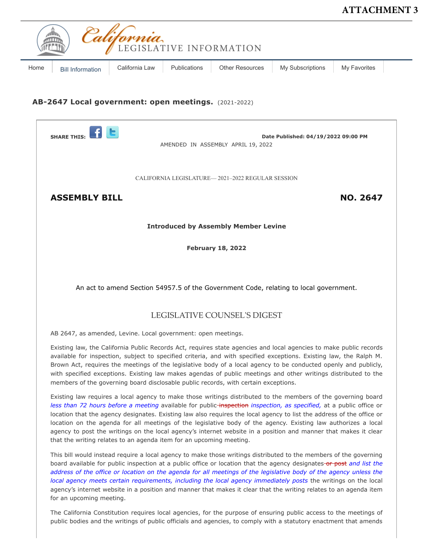# **ATTACHMENT 3**

<span id="page-27-0"></span>

The California Constitution requires local agencies, for the purpose of ensuring public access to the meetings of public bodies and the writings of public officials and agencies, to comply with a statutory enactment that amends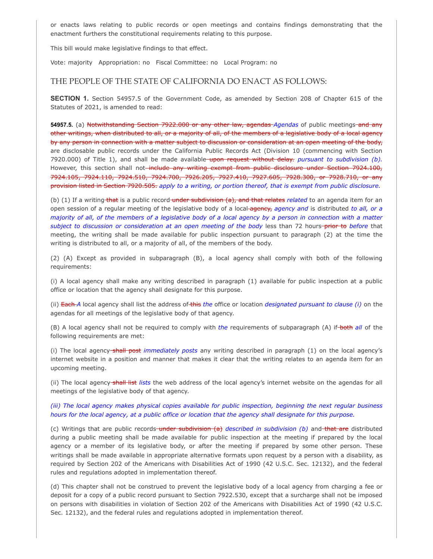or enacts laws relating to public records or open meetings and contains findings demonstrating that the enactment furthers the constitutional requirements relating to this purpose.

This bill would make legislative findings to that effect.

Vote: majority Appropriation: no Fiscal Committee: no Local Program: no

## THE PEOPLE OF THE STATE OF CALIFORNIA DO ENACT AS FOLLOWS:

**SECTION 1.** Section 54957.5 of the Government Code, as amended by Section 208 of Chapter 615 of the Statutes of 2021, is amended to read:

**54957.5.** (a) Notwithstanding Section 7922.000 or any other law, agendas *Agendas* of public meetings and any other writings, when distributed to all, or a majority of all, of the members of a legislative body of a local agency by any person in connection with a matter subject to discussion or consideration at an open meeting of the body, are disclosable public records under the California Public Records Act (Division 10 (commencing with Section 7920.000) of Title 1), and shall be made available upon request without delay. *pursuant to subdivision (b).* However, this section shall not-include any writing exempt from public disclosure under Section 7924.100, 7924.105, 7924.110, 7924.510, 7924.700, 7926.205, 7927.410, 7927.605, 7928.300, or 7928.710, or any provision listed in Section 7920.505. *apply to a writing, or portion thereof, that is exempt from public disclosure.*

(b) (1) If a writing that is a public record under subdivision (a), and that relates related to an agenda item for an open session of a regular meeting of the legislative body of a local agency, agency and is distributed to all, or a *majority of all, of the members of a legislative body of a local agency by a person in connection with a matter* subject to discussion or consideration at an open meeting of the body less than 72 hours-prior to before that meeting, the writing shall be made available for public inspection pursuant to paragraph (2) at the time the writing is distributed to all, or a majority of all, of the members of the body.

(2) (A) Except as provided in subparagraph (B), a local agency shall comply with both of the following requirements:

(i) A local agency shall make any writing described in paragraph (1) available for public inspection at a public office or location that the agency shall designate for this purpose.

(ii) Each *A* local agency shall list the address of this *the* office or location *designated pursuant to clause (i)* on the agendas for all meetings of the legislative body of that agency.

(B) A local agency shall not be required to comply with *the* requirements of subparagraph (A) if both *all* of the following requirements are met:

(i) The local agency shall post *immediately posts* any writing described in paragraph (1) on the local agency's internet website in a position and manner that makes it clear that the writing relates to an agenda item for an upcoming meeting.

(ii) The local agency shall list *lists* the web address of the local agency's internet website on the agendas for all meetings of the legislative body of that agency.

### *(iii) The local agency makes physical copies available for public inspection, beginning the next regular business hours for the local agency, at a public office or location that the agency shall designate for this purpose.*

(c) Writings that are public records-under subdivision (a) described in subdivision (b) and that are distributed during a public meeting shall be made available for public inspection at the meeting if prepared by the local agency or a member of its legislative body, or after the meeting if prepared by some other person. These writings shall be made available in appropriate alternative formats upon request by a person with a disability, as required by Section 202 of the Americans with Disabilities Act of 1990 (42 U.S.C. Sec. 12132), and the federal rules and regulations adopted in implementation thereof.

(d) This chapter shall not be construed to prevent the legislative body of a local agency from charging a fee or deposit for a copy of a public record pursuant to Section 7922.530, except that a surcharge shall not be imposed on persons with disabilities in violation of Section 202 of the Americans with Disabilities Act of 1990 (42 U.S.C. Sec. 12132), and the federal rules and regulations adopted in implementation thereof.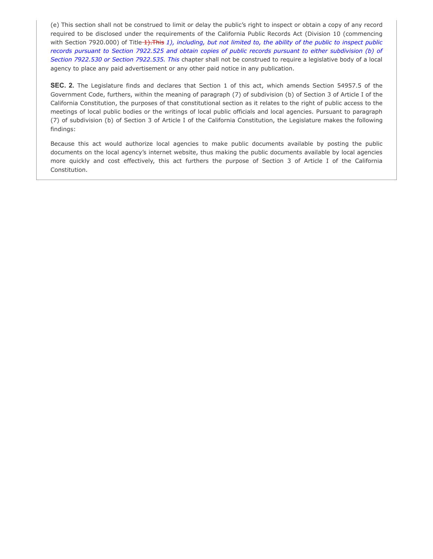(e) This section shall not be construed to limit or delay the public's right to inspect or obtain a copy of any record required to be disclosed under the requirements of the California Public Records Act (Division 10 (commencing with Section 7920.000) of Title 1).This *1), including, but not limited to, the ability of the public to inspect public records pursuant to Section 7922.525 and obtain copies of public records pursuant to either subdivision (b) of Section 7922.530 or Section 7922.535. This* chapter shall not be construed to require a legislative body of a local agency to place any paid advertisement or any other paid notice in any publication.

**SEC. 2.** The Legislature finds and declares that Section 1 of this act, which amends Section 54957.5 of the Government Code, furthers, within the meaning of paragraph (7) of subdivision (b) of Section 3 of Article I of the California Constitution, the purposes of that constitutional section as it relates to the right of public access to the meetings of local public bodies or the writings of local public officials and local agencies. Pursuant to paragraph (7) of subdivision (b) of Section 3 of Article I of the California Constitution, the Legislature makes the following findings:

Because this act would authorize local agencies to make public documents available by posting the public documents on the local agency's internet website, thus making the public documents available by local agencies more quickly and cost effectively, this act furthers the purpose of Section 3 of Article I of the California Constitution.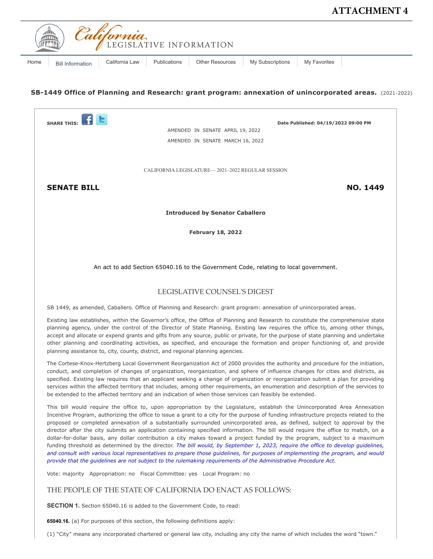# **ATTACHMENT 4**

<span id="page-30-0"></span>

## **SB-1449 Office of Planning and Research: grant program: annexation of unincorporated areas.** (2021-2022)



**65040.16.** (a) For purposes of this section, the following definitions apply:

(1) "City" means any incorporated chartered or general law city, including any city the name of which includes the word "town."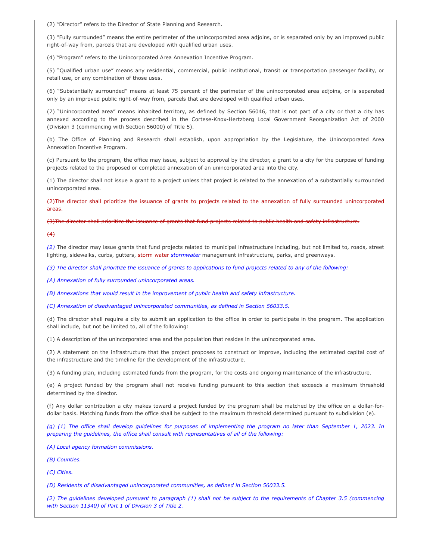(2) "Director" refers to the Director of State Planning and Research.

(3) "Fully surrounded" means the entire perimeter of the unincorporated area adjoins, or is separated only by an improved public right-of-way from, parcels that are developed with qualified urban uses.

(4) "Program" refers to the Unincorporated Area Annexation Incentive Program.

(5) "Qualified urban use" means any residential, commercial, public institutional, transit or transportation passenger facility, or retail use, or any combination of those uses.

(6) "Substantially surrounded" means at least 75 percent of the perimeter of the unincorporated area adjoins, or is separated only by an improved public right-of-way from, parcels that are developed with qualified urban uses.

(7) "Unincorporated area" means inhabited territory, as defined by Section 56046, that is not part of a city or that a city has annexed according to the process described in the Cortese-Knox-Hertzberg Local Government Reorganization Act of 2000 (Division 3 (commencing with Section 56000) of Title 5).

(b) The Office of Planning and Research shall establish, upon appropriation by the Legislature, the Unincorporated Area Annexation Incentive Program.

(c) Pursuant to the program, the office may issue, subject to approval by the director, a grant to a city for the purpose of funding projects related to the proposed or completed annexation of an unincorporated area into the city.

(1) The director shall not issue a grant to a project unless that project is related to the annexation of a substantially surrounded unincorporated area.

(2)The director shall prioritize the issuance of grants to projects related to the annexation of fully surrounded unincorporated areas.

(3)The director shall prioritize the issuance of grants that fund projects related to public health and safety infrastructure.

#### $(4)$

*(2)* The director may issue grants that fund projects related to municipal infrastructure including, but not limited to, roads, street lighting, sidewalks, curbs, gutters, storm water *stormwater* management infrastructure, parks, and greenways.

(3) The director shall prioritize the issuance of grants to applications to fund projects related to any of the following:

*(A) Annexation of fully surrounded unincorporated areas.*

*(B) Annexations that would result in the improvement of public health and safety infrastructure.*

*(C) Annexation of disadvantaged unincorporated communities, as defined in Section 56033.5.*

(d) The director shall require a city to submit an application to the office in order to participate in the program. The application shall include, but not be limited to, all of the following:

(1) A description of the unincorporated area and the population that resides in the unincorporated area.

(2) A statement on the infrastructure that the project proposes to construct or improve, including the estimated capital cost of the infrastructure and the timeline for the development of the infrastructure.

(3) A funding plan, including estimated funds from the program, for the costs and ongoing maintenance of the infrastructure.

(e) A project funded by the program shall not receive funding pursuant to this section that exceeds a maximum threshold determined by the director.

(f) Any dollar contribution a city makes toward a project funded by the program shall be matched by the office on a dollar-fordollar basis. Matching funds from the office shall be subject to the maximum threshold determined pursuant to subdivision (e).

(q) (1) The office shall develop quidelines for purposes of implementing the program no later than September 1, 2023. In *preparing the guidelines, the office shall consult with representatives of all of the following:*

*(A) Local agency formation commissions.*

*(B) Counties.*

*(C) Cities.*

*(D) Residents of disadvantaged unincorporated communities, as defined in Section 56033.5.*

(2) The guidelines developed pursuant to paragraph (1) shall not be subject to the requirements of Chapter 3.5 (commencing *with Section 11340) of Part 1 of Division 3 of Title 2.*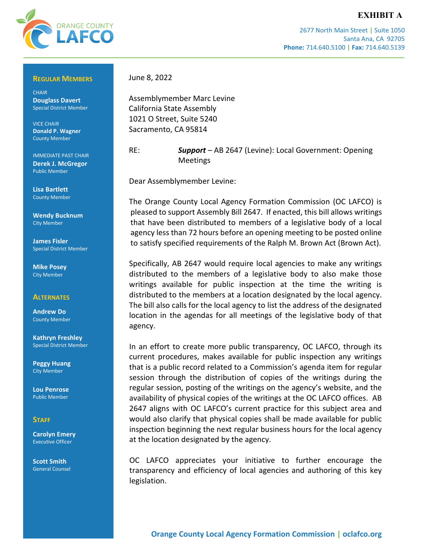# **EXHIBIT A**



2677 North Main Street **|** Suite 1050 Santa Ana, CA 92705 **Phone:** 714.640.5100 **| Fax:** 714.640.5139

#### **REGULAR MEMBERS**

**CHAIR Douglass Davert**  Special District Member

VICE CHAIR **Donald P. Wagner** County Member

IMMEDIATE PAST CHAIR **Derek J. McGregor** Public Member

**Lisa Bartlett** County Member

**Wendy Bucknum** City Member

**James Fisler** Special District Member

**Mike Posey** City Member

#### **ALTERNATES**

**Andrew Do** County Member

**Kathryn Freshley** Special District Member

**Peggy Huang** City Member

**Lou Penrose** Public Member

## **STAFF**

**Carolyn Emery** Executive Officer

**Scott Smith** General Counsel June 8, 2022

Assemblymember Marc Levine California State Assembly 1021 O Street, Suite 5240 Sacramento, CA 95814

RE: *Support* – AB 2647 (Levine): Local Government: Opening Meetings

Dear Assemblymember Levine:

The Orange County Local Agency Formation Commission (OC LAFCO) is pleased to support Assembly Bill 2647. If enacted, this bill allows writings that have been distributed to members of a legislative body of a local agency less than 72 hours before an opening meeting to be posted online to satisfy specified requirements of the Ralph M. Brown Act (Brown Act).

Specifically, AB 2647 would require local agencies to make any writings distributed to the members of a legislative body to also make those writings available for public inspection at the time the writing is distributed to the members at a location designated by the local agency. The bill also calls for the local agency to list the address of the designated location in the agendas for all meetings of the legislative body of that agency.

In an effort to create more public transparency, OC LAFCO, through its current procedures, makes available for public inspection any writings that is a public record related to a Commission's agenda item for regular session through the distribution of copies of the writings during the regular session, posting of the writings on the agency's website, and the availability of physical copies of the writings at the OC LAFCO offices. AB 2647 aligns with OC LAFCO's current practice for this subject area and would also clarify that physical copies shall be made available for public inspection beginning the next regular business hours for the local agency at the location designated by the agency.

OC LAFCO appreciates your initiative to further encourage the transparency and efficiency of local agencies and authoring of this key legislation.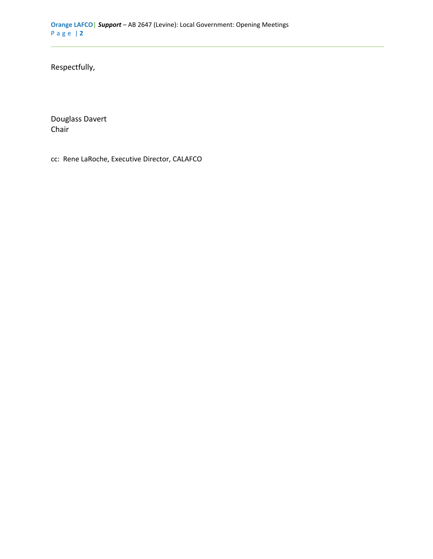Respectfully,

Douglass Davert Chair

cc: Rene LaRoche, Executive Director, CALAFCO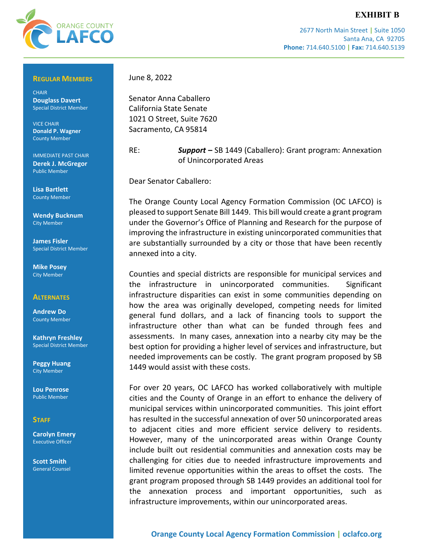# **EXHIBIT B**

Santa Ana, CA 92705

2677 North Main Street **|** Suite 1050

**Phone:** 714.640.5100 **| Fax:** 714.640.5139



#### **REGULAR MEMBERS**

**CHAIR Douglass Davert**  Special District Member

VICE CHAIR **Donald P. Wagner** County Member

IMMEDIATE PAST CHAIR **Derek J. McGregor** Public Member

**Lisa Bartlett** County Member

**Wendy Bucknum** City Member

**James Fisler** Special District Member

**Mike Posey** City Member

#### **ALTERNATES**

**Andrew Do** County Member

**Kathryn Freshley** Special District Member

**Peggy Huang** City Member

**Lou Penrose** Public Member

### **STAFF**

**Carolyn Emery** Executive Officer

**Scott Smith** General Counsel June 8, 2022

Senator Anna Caballero California State Senate 1021 O Street, Suite 7620 Sacramento, CA 95814

RE: *Support* **–** SB 1449 (Caballero): Grant program: Annexation of Unincorporated Areas

Dear Senator Caballero:

The Orange County Local Agency Formation Commission (OC LAFCO) is pleased to support Senate Bill 1449. This bill would create a grant program under the Governor's Office of Planning and Research for the purpose of improving the infrastructure in existing unincorporated communities that are substantially surrounded by a city or those that have been recently annexed into a city.

Counties and special districts are responsible for municipal services and the infrastructure in unincorporated communities. Significant infrastructure disparities can exist in some communities depending on how the area was originally developed, competing needs for limited general fund dollars, and a lack of financing tools to support the infrastructure other than what can be funded through fees and assessments. In many cases, annexation into a nearby city may be the best option for providing a higher level of services and infrastructure, but needed improvements can be costly. The grant program proposed by SB 1449 would assist with these costs.

For over 20 years, OC LAFCO has worked collaboratively with multiple cities and the County of Orange in an effort to enhance the delivery of municipal services within unincorporated communities. This joint effort has resulted in the successful annexation of over 50 unincorporated areas to adjacent cities and more efficient service delivery to residents. However, many of the unincorporated areas within Orange County include built out residential communities and annexation costs may be challenging for cities due to needed infrastructure improvements and limited revenue opportunities within the areas to offset the costs. The grant program proposed through SB 1449 provides an additional tool for the annexation process and important opportunities, such as infrastructure improvements, within our unincorporated areas.